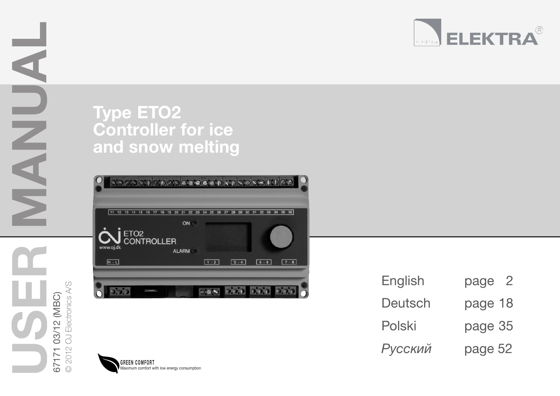

# **Ty p e E T O 2 Controller for ice** and snow melting



| GREEN COMFORT<br>Maximum comfort with low energy consumption |
|--------------------------------------------------------------|
|                                                              |

 $\ddot{\phantom{a}}$ 

| English | page 2  |
|---------|---------|
| Deutsch | page 18 |
| Polski  | page 35 |
| Русский | page 52 |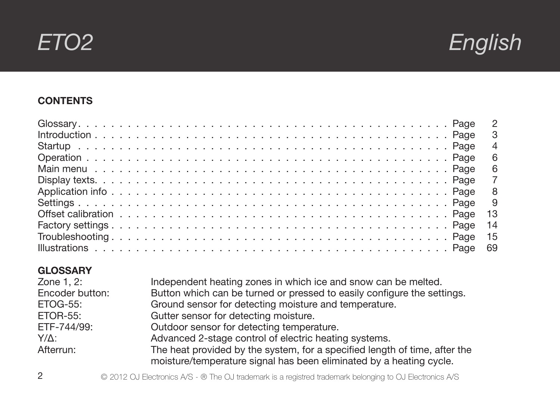

# **CONTENTS**

|  |  |  |  |  |  |  |  |  |  |  |  |  |  |  |  |  |  |  |  | $\overline{2}$ |
|--|--|--|--|--|--|--|--|--|--|--|--|--|--|--|--|--|--|--|--|----------------|
|  |  |  |  |  |  |  |  |  |  |  |  |  |  |  |  |  |  |  |  | - 3            |
|  |  |  |  |  |  |  |  |  |  |  |  |  |  |  |  |  |  |  |  | $\overline{4}$ |
|  |  |  |  |  |  |  |  |  |  |  |  |  |  |  |  |  |  |  |  | - 6            |
|  |  |  |  |  |  |  |  |  |  |  |  |  |  |  |  |  |  |  |  | - 6            |
|  |  |  |  |  |  |  |  |  |  |  |  |  |  |  |  |  |  |  |  | $\overline{7}$ |
|  |  |  |  |  |  |  |  |  |  |  |  |  |  |  |  |  |  |  |  | - 8            |
|  |  |  |  |  |  |  |  |  |  |  |  |  |  |  |  |  |  |  |  |                |
|  |  |  |  |  |  |  |  |  |  |  |  |  |  |  |  |  |  |  |  |                |
|  |  |  |  |  |  |  |  |  |  |  |  |  |  |  |  |  |  |  |  |                |
|  |  |  |  |  |  |  |  |  |  |  |  |  |  |  |  |  |  |  |  |                |
|  |  |  |  |  |  |  |  |  |  |  |  |  |  |  |  |  |  |  |  |                |

## **GLOSSARY**

| Zone 1, 2:      | Independent heating zones in which ice and snow can be melted.             |
|-----------------|----------------------------------------------------------------------------|
| Encoder button: | Button which can be turned or pressed to easily configure the settings.    |
| ETOG-55:        | Ground sensor for detecting moisture and temperature.                      |
| ETOR-55:        | Gutter sensor for detecting moisture.                                      |
| ETF-744/99:     | Outdoor sensor for detecting temperature.                                  |
| Y/Δ:            | Advanced 2-stage control of electric heating systems.                      |
| Afterrun:       | The heat provided by the system, for a specified length of time, after the |
|                 | moisture/temperature signal has been eliminated by a heating cycle.        |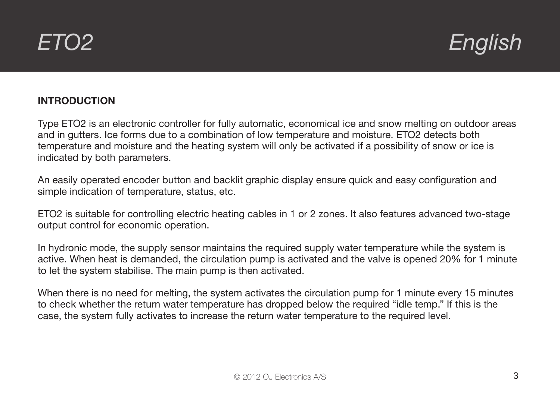



### **INTRODUCTION**

Type ETO2 is an electronic controller for fully automatic, economical ice and snow melting on outdoor areas and in gutters. Ice forms due to a combination of low temperature and moisture. ETO2 detects both temperature and moisture and the heating system will only be activated if a possibility of snow or ice is indicated by both parameters.

An easily operated encoder button and backlit graphic display ensure quick and easy configuration and simple indication of temperature, status, etc.

ETO2 is suitable for controlling electric heating cables in 1 or 2 zones. It also features advanced two-stage output control for economic operation.

In hydronic mode, the supply sensor maintains the required supply water temperature while the system is active. When heat is demanded, the circulation pump is activated and the valve is opened 20% for 1 minute to let the system stabilise. The main pump is then activated.

When there is no need for melting, the system activates the circulation pump for 1 minute every 15 minutes to check whether the return water temperature has dropped below the required "idle temp." If this is the case, the system fully activates to increase the return water temperature to the required level.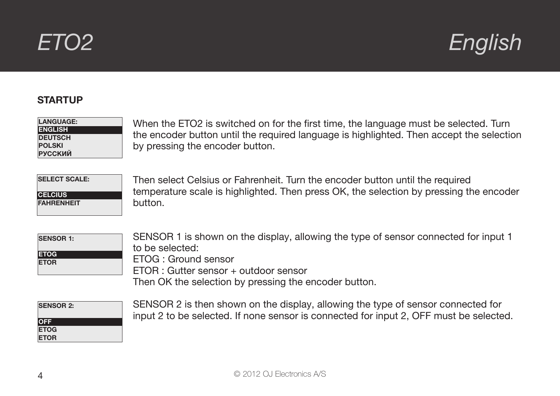



### **STARTUP**

| <b>LANGUAGE:</b> |  |
|------------------|--|
| <b>ENGLISH</b>   |  |
| <b>DEUTSCH</b>   |  |
| <b>POLSKI</b>    |  |
| <b>РУССКИЙ</b>   |  |

When the ETO2 is switched on for the first time, the language must be selected. Turn the encoder button until the required language is highlighted. Then accept the selection by pressing the encoder button.

| <b>SELECT SCALE:</b> |  |
|----------------------|--|
| <b>CELCIUS</b>       |  |
| <b>FAHRENHEIT</b>    |  |
|                      |  |

Then select Celsius or Fahrenheit. Turn the encoder button until the required temperature scale is highlighted. Then press OK, the selection by pressing the encoder button.

| <b>SENSOR 1:</b> |  |
|------------------|--|
| <b>ETOG</b>      |  |
| <b>ETOR</b>      |  |
|                  |  |

SENSOR 1 is shown on the display, allowing the type of sensor connected for input 1 to be selected:

ETOG : Ground sensor

 $ETOR \cdot G$ utter sensor + outdoor sensor

Then OK the selection by pressing the encoder button.

| <b>SENSOR 2:</b> |  |
|------------------|--|
| <b>OFF</b>       |  |
| <b>ETOG</b>      |  |
| <b>ETOR</b>      |  |

SENSOR 2 is then shown on the display, allowing the type of sensor connected for input 2 to be selected. If none sensor is connected for input 2, OFF must be selected.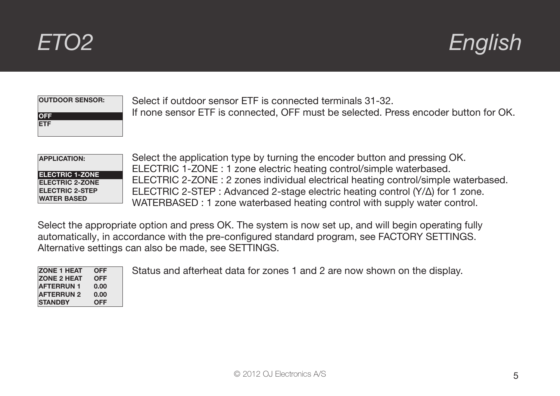



Select if outdoor sensor ETF is connected terminals 31-32. If none sensor ETF is connected, OFF must be selected. Press encoder button for OK.

| <b>APPLICATION:</b>    |  |
|------------------------|--|
| <b>ELECTRIC 1-ZONE</b> |  |
| <b>ELECTRIC 2-ZONE</b> |  |
| <b>ELECTRIC 2-STEP</b> |  |
| <b>WATER BASED</b>     |  |

Select the application type by turning the encoder button and pressing OK. ELECTRIC 1-ZONE : 1 zone electric heating control/simple waterbased. ELECTRIC 2-ZONE : 2 zones individual electrical heating control/simple waterbased. ELECTRIC 2-STEP : Advanced 2-stage electric heating control (Y/Δ) for 1 zone. WATERBASED : 1 zone waterbased heating control with supply water control.

Select the appropriate option and press OK. The system is now set up, and will begin operating fully automatically, in accordance with the pre-configured standard program, see FACTORY SETTINGS. Alternative settings can also be made, see SETTINGS.

| <b>OFF</b> |
|------------|
| <b>OFF</b> |
| 0.00       |
| 0.00       |
| <b>OFF</b> |
|            |

Status and afterheat data for zones 1 and 2 are now shown on the display.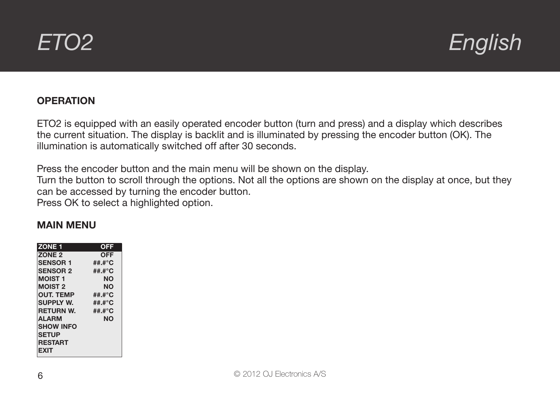



### **OPERATION**

ETO2 is equipped with an easily operated encoder button (turn and press) and a display which describes the current situation. The display is backlit and is illuminated by pressing the encoder button (OK). The illumination is automatically switched off after 30 seconds.

Press the encoder button and the main menu will be shown on the display.

Turn the button to scroll through the options. Not all the options are shown on the display at once, but they can be accessed by turning the encoder button.

Press OK to select a highlighted option.

### **MAIN MENU**

| ZONE <sub>1</sub> | OFF       |
|-------------------|-----------|
| ZONE <sub>2</sub> | OFF       |
| <b>SENSOR 1</b>   | ##.#°C    |
| <b>SENSOR 2</b>   | ##.#°C    |
| <b>MOIST1</b>     | <b>NO</b> |
| <b>MOIST 2</b>    | NO        |
| <b>OUT. TEMP</b>  | ##.#°C    |
| <b>SUPPLY W.</b>  | ##.#°C    |
| <b>RETURN W.</b>  | ##.#°C    |
| <b>ALARM</b>      | <b>NO</b> |
| <b>SHOW INFO</b>  |           |
| <b>SETUP</b>      |           |
| <b>RESTART</b>    |           |
| <b>FXIT</b>       |           |
|                   |           |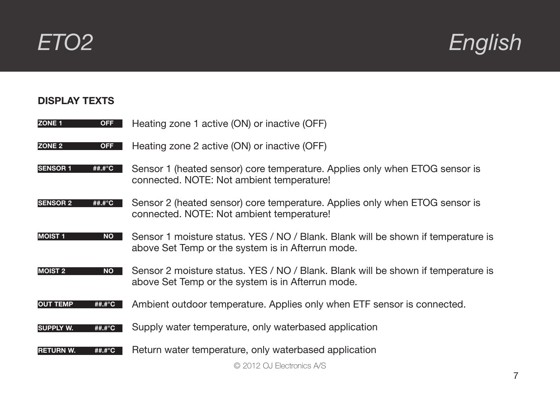



## **DISPLAY TEXTS**

| ZONE <sub>1</sub><br><b>OFF</b>    | Heating zone 1 active (ON) or inactive (OFF)                                                                                           |
|------------------------------------|----------------------------------------------------------------------------------------------------------------------------------------|
| ZONE <sub>2</sub><br><b>OFF</b>    | Heating zone 2 active (ON) or inactive (OFF)                                                                                           |
| <b>SENSOR 1</b><br>##.#°C          | Sensor 1 (heated sensor) core temperature. Applies only when ETOG sensor is<br>connected. NOTE: Not ambient temperature!               |
| <b>SENSOR 2</b><br>##.#°C          | Sensor 2 (heated sensor) core temperature. Applies only when ETOG sensor is<br>connected. NOTE: Not ambient temperature!               |
| <b>MOIST 1</b><br><b>NO</b>        | Sensor 1 moisture status. YES / NO / Blank. Blank will be shown if temperature is<br>above Set Temp or the system is in Afterrun mode. |
| <b>MOIST 2</b><br><b>NO</b>        | Sensor 2 moisture status. YES / NO / Blank. Blank will be shown if temperature is<br>above Set Temp or the system is in Afterrun mode. |
| <b>OUT TEMP</b><br>##.#°C          | Ambient outdoor temperature. Applies only when ETF sensor is connected.                                                                |
| <b>SUPPLY W.</b><br>##.#°C         | Supply water temperature, only waterbased application                                                                                  |
| <b>RETURN W.</b><br>$\#$ # $\#$ °C | Return water temperature, only waterbased application                                                                                  |

© 2012 OJ Electronics A/S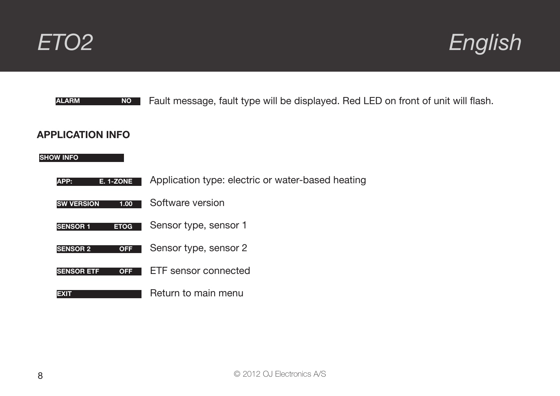



Fault message, fault type will be displayed. Red LED on front of unit will flash. **ALARM NO**

## **APPLICATION INFO**

#### **SHOW INFO**

| <b>E. 1-ZONE</b><br>APP:        | Application type: electric or water-based heating |
|---------------------------------|---------------------------------------------------|
| <b>SW VERSION</b><br>1.00       | Software version                                  |
| <b>ETOG</b><br><b>SENSOR 1</b>  | Sensor type, sensor 1                             |
| <b>SENSOR 2</b><br><b>OFF</b>   | Sensor type, sensor 2                             |
| <b>SENSOR ETF</b><br><b>OFF</b> | ETF sensor connected                              |
| <b>EXIT</b>                     | Return to main menu                               |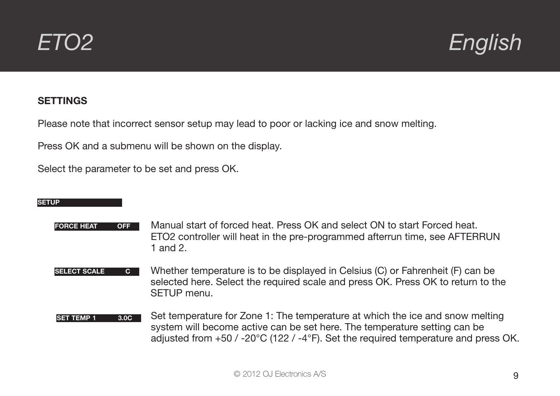



## **SETTINGS**

Please note that incorrect sensor setup may lead to poor or lacking ice and snow melting.

Press OK and a submenu will be shown on the display.

Select the parameter to be set and press OK.

#### **SETUP**

| <b>FORCE HEAT</b><br>OFF  | Manual start of forced heat. Press OK and select ON to start Forced heat.<br>ETO2 controller will heat in the pre-programmed afterrun time, see AFTERRUN<br>1 and $2$ .                                                                                                  |
|---------------------------|--------------------------------------------------------------------------------------------------------------------------------------------------------------------------------------------------------------------------------------------------------------------------|
| <b>SELECT SCALE</b><br>c. | Whether temperature is to be displayed in Celsius (C) or Fahrenheit (F) can be<br>selected here. Select the required scale and press OK. Press OK to return to the<br>SETUP menu.                                                                                        |
| <b>SET TEMP 1</b><br>3.0C | Set temperature for Zone 1: The temperature at which the ice and snow melting<br>system will become active can be set here. The temperature setting can be<br>adjusted from $+50$ / -20 $^{\circ}$ C (122 / -4 $^{\circ}$ F). Set the required temperature and press OK. |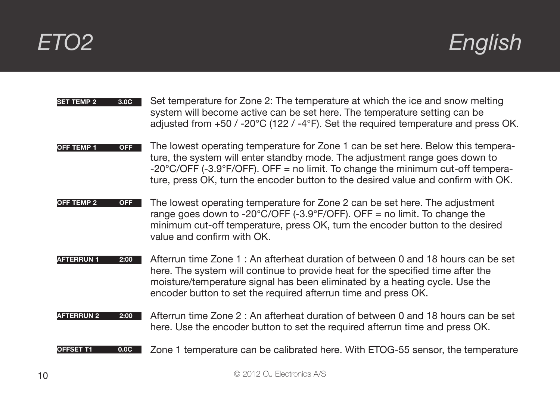# ETO2 English

| <b>SET TEMP 2</b><br>3.0C       | Set temperature for Zone 2: The temperature at which the ice and snow melting<br>system will become active can be set here. The temperature setting can be<br>adjusted from +50 / -20°C (122 / -4°F). Set the required temperature and press OK.                                                                                                            |
|---------------------------------|-------------------------------------------------------------------------------------------------------------------------------------------------------------------------------------------------------------------------------------------------------------------------------------------------------------------------------------------------------------|
| <b>OFF</b><br>OFF TEMP 1        | The lowest operating temperature for Zone 1 can be set here. Below this tempera-<br>ture, the system will enter standby mode. The adjustment range goes down to<br>$-20^{\circ}$ C/OFF ( $-3.9^{\circ}$ F/OFF). OFF = no limit. To change the minimum cut-off tempera-<br>ture, press OK, turn the encoder button to the desired value and confirm with OK. |
| <b>OFF TEMP 2</b><br><b>OFF</b> | The lowest operating temperature for Zone 2 can be set here. The adjustment<br>range goes down to -20 $\degree$ C/OFF (-3.9 $\degree$ F/OFF). OFF = no limit. To change the<br>minimum cut-off temperature, press OK, turn the encoder button to the desired<br>value and confirm with OK.                                                                  |
| <b>AFTERRUN 1</b><br>2:00       | Afterrun time Zone 1: An afterheat duration of between 0 and 18 hours can be set<br>here. The system will continue to provide heat for the specified time after the<br>moisture/temperature signal has been eliminated by a heating cycle. Use the<br>encoder button to set the required afterrun time and press OK.                                        |
| <b>AFTERRUN 2</b><br>2:00       | Afterrun time Zone 2 : An afterheat duration of between 0 and 18 hours can be set<br>here. Use the encoder button to set the required afterrun time and press OK.                                                                                                                                                                                           |
| 0.0C<br><b>OFFSET T1</b>        | Zone 1 temperature can be calibrated here. With ETOG-55 sensor, the temperature                                                                                                                                                                                                                                                                             |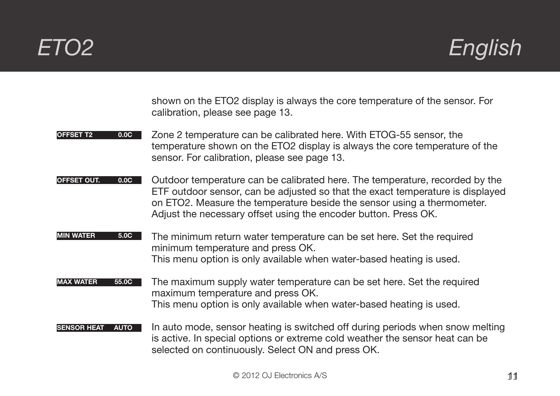

shown on the ETO2 display is always the core temperature of the sensor. For calibration, please see page 13.

- Zone 2 temperature can be calibrated here. With ETOG-55 sensor, the temperature shown on the ETO2 display is always the core temperature of the sensor. For calibration, please see page 13. **OFFSET T2 0.0C**
- Outdoor temperature can be calibrated here. The temperature, recorded by the ETF outdoor sensor, can be adjusted so that the exact temperature is displayed on ETO2. Measure the temperature beside the sensor using a thermometer. Adjust the necessary offset using the encoder button. Press OK. **OFFSET OUT. 0.0C**
- The minimum return water temperature can be set here. Set the required minimum temperature and press OK. This menu option is only available when water-based heating is used. **MIN WATER 5.0C**
- The maximum supply water temperature can be set here. Set the required maximum temperature and press OK. This menu option is only available when water-based heating is used. **MAX WATER 55.0C**
- In auto mode, sensor heating is switched off during periods when snow melting is active. In special options or extreme cold weather the sensor heat can be selected on continuously. Select ON and press OK. **SENSOR HEAT AUTO**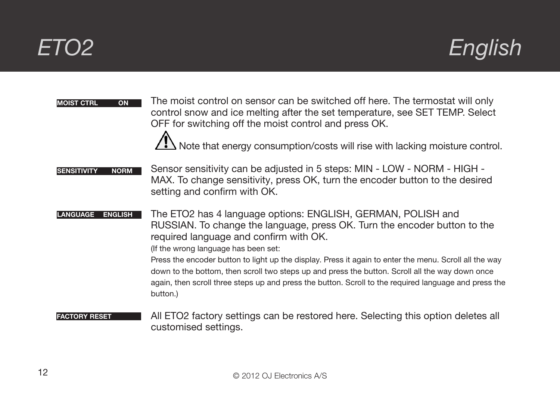

| <b>MOIST CTRL</b><br>ON           | The moist control on sensor can be switched off here. The termostat will only<br>control snow and ice melting after the set temperature, see SET TEMP. Select<br>OFF for switching off the moist control and press OK.<br>$\Delta$ Note that energy consumption/costs will rise with lacking moisture control.                                                                                                                                                                                                                                                |
|-----------------------------------|---------------------------------------------------------------------------------------------------------------------------------------------------------------------------------------------------------------------------------------------------------------------------------------------------------------------------------------------------------------------------------------------------------------------------------------------------------------------------------------------------------------------------------------------------------------|
| <b>NORM</b><br><b>SENSITIVITY</b> | Sensor sensitivity can be adjusted in 5 steps: MIN - LOW - NORM - HIGH -<br>MAX. To change sensitivity, press OK, turn the encoder button to the desired<br>setting and confirm with OK.                                                                                                                                                                                                                                                                                                                                                                      |
| <b>LANGUAGE</b><br><b>ENGLISH</b> | The ETO2 has 4 language options: ENGLISH, GERMAN, POLISH and<br>RUSSIAN. To change the language, press OK. Turn the encoder button to the<br>required language and confirm with OK.<br>(If the wrong language has been set:<br>Press the encoder button to light up the display. Press it again to enter the menu. Scroll all the way<br>down to the bottom, then scroll two steps up and press the button. Scroll all the way down once<br>again, then scroll three steps up and press the button. Scroll to the required language and press the<br>button.) |
| <b>FACTORY RESET</b>              | All ETO2 factory settings can be restored here. Selecting this option deletes all<br>customised settings.                                                                                                                                                                                                                                                                                                                                                                                                                                                     |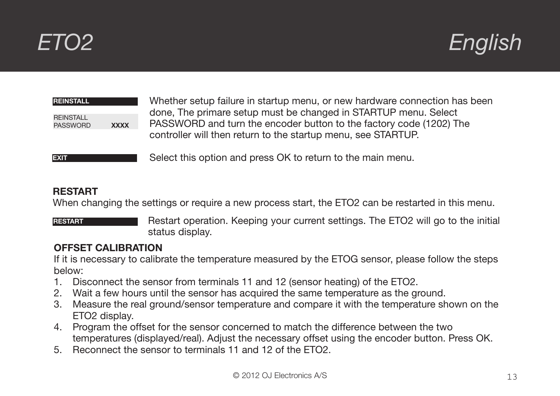

#### **REINSTALL** REINSTALL PASSWORD **XXXX**

Whether setup failure in startup menu, or new hardware connection has been done, The primare setup must be changed in STARTUP menu. Select PASSWORD and turn the encoder button to the factory code (1202) The controller will then return to the startup menu, see STARTUP.

Select this option and press OK to return to the main menu.

## **RESTART**

When changing the settings or require a new process start, the ETO2 can be restarted in this menu.

**EXIT**

**RESTART** Restart operation. Keeping your current settings. The ETO2 will go to the initial status display.

## **OFFSET CALIBRATION**

If it is necessary to calibrate the temperature measured by the ETOG sensor, please follow the steps below:

- 1. Disconnect the sensor from terminals 11 and 12 (sensor heating) of the ETO2.
- 2. Wait a few hours until the sensor has acquired the same temperature as the ground.
- 3. Measure the real ground/sensor temperature and compare it with the temperature shown on the ETO2 display.
- 4. Program the offset for the sensor concerned to match the difference between the two temperatures (displayed/real). Adjust the necessary offset using the encoder button. Press OK.
- 5. Reconnect the sensor to terminals 11 and 12 of the ETO2.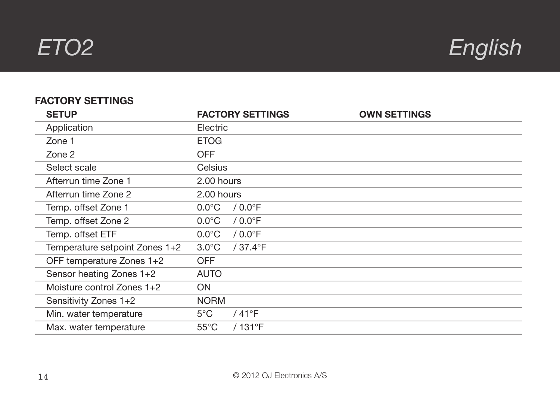# *ETO2*



### **FACTORY SETTINGS**

| <b>SETUP</b>                   | <b>FACTORY SETTINGS</b>       | <b>OWN SETTINGS</b> |
|--------------------------------|-------------------------------|---------------------|
| Application                    | Electric                      |                     |
| Zone 1                         | <b>ETOG</b>                   |                     |
| Zone 2                         | <b>OFF</b>                    |                     |
| Select scale                   | Celsius                       |                     |
| Afterrun time Zone 1           | 2.00 hours                    |                     |
| Afterrun time Zone 2           | 2.00 hours                    |                     |
| Temp. offset Zone 1            | $0.0^{\circ}$ C<br>$/ 0.0$ °F |                     |
| Temp. offset Zone 2            | $0.0^{\circ}$ C<br>$/ 0.0$ °F |                     |
| Temp. offset ETF               | $0.0^{\circ}$ C<br>$/ 0.0$ °F |                     |
| Temperature setpoint Zones 1+2 | $3.0^{\circ}$ C<br>$/37.4$ °F |                     |
| OFF temperature Zones 1+2      | <b>OFF</b>                    |                     |
| Sensor heating Zones 1+2       | <b>AUTO</b>                   |                     |
| Moisture control Zones 1+2     | <b>ON</b>                     |                     |
| Sensitivity Zones 1+2          | <b>NORM</b>                   |                     |
| Min. water temperature         | $5^{\circ}$ C<br>/ 41°F       |                     |
| Max. water temperature         | / 131°F<br>$55^{\circ}$ C     |                     |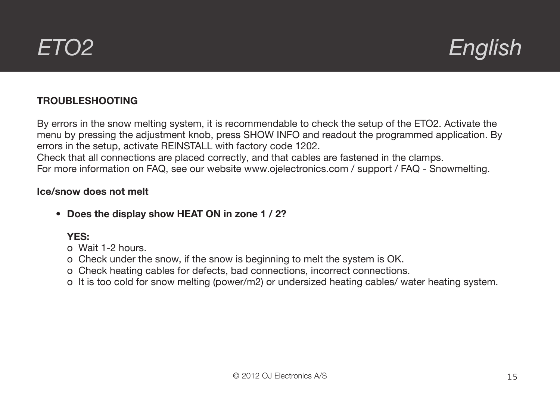



### **TROUBLESHOOTING**

By errors in the snow melting system, it is recommendable to check the setup of the ETO2. Activate the menu by pressing the adjustment knob, press SHOW INFO and readout the programmed application. By errors in the setup, activate REINSTALL with factory code 1202. Check that all connections are placed correctly, and that cables are fastened in the clamps. For more information on FAQ, see our website www.ojelectronics.com / support / FAQ - Snowmelting.

### **Ice/snow does not melt**

• **Does the display show HEAT ON in zone 1 / 2?**

### **YES:**

- o Wait 1-2 hours.
- o Check under the snow, if the snow is beginning to melt the system is OK.
- o Check heating cables for defects, bad connections, incorrect connections.
- o It is too cold for snow melting (power/m2) or undersized heating cables/ water heating system.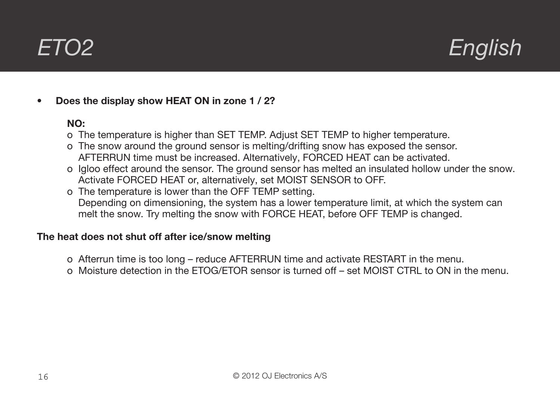



### • **Does the display show HEAT ON in zone 1 / 2?**

### **NO:**

- o The temperature is higher than SET TEMP. Adjust SET TEMP to higher temperature.
- o The snow around the ground sensor is melting/drifting snow has exposed the sensor. AFTERRUN time must be increased. Alternatively, FORCED HEAT can be activated.
- o Igloo effect around the sensor. The ground sensor has melted an insulated hollow under the snow. Activate FORCED HEAT or, alternatively, set MOIST SENSOR to OFF.
- o The temperature is lower than the OFF TEMP setting. Depending on dimensioning, the system has a lower temperature limit, at which the system can melt the snow. Try melting the snow with FORCE HEAT, before OFF TEMP is changed.

### **The heat does not shut off after ice/snow melting**

- o Afterrun time is too long reduce AFTERRUN time and activate RESTART in the menu.
- o Moisture detection in the ETOG/ETOR sensor is turned off set MOIST CTRL to ON in the menu.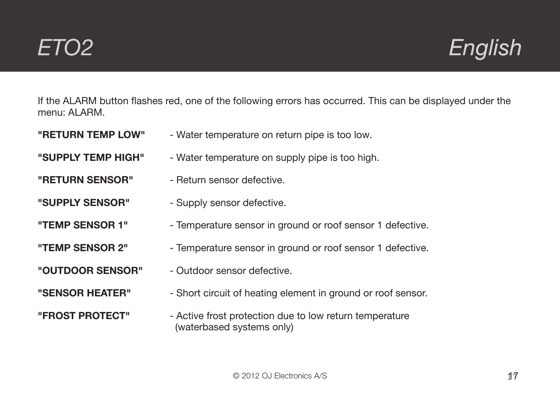

If the ALARM button flashes red, one of the following errors has occurred. This can be displayed under the menu: ALARM.

- **"RETURN TEMP LOW"** Water temperature on return pipe is too low.
- **"SUPPLY TEMP HIGH"** Water temperature on supply pipe is too high.
- **"RETURN SENSOR"** Return sensor defective.
- **"SUPPLY SENSOR"** Supply sensor defective.
- **"TEMP SENSOR 1"** Temperature sensor in ground or roof sensor 1 defective.
- **"TEMP SENSOR 2"** Temperature sensor in ground or roof sensor 1 defective.
- **"OUTDOOR SENSOR"** Outdoor sensor defective.
- **"SENSOR HEATER"** Short circuit of heating element in ground or roof sensor.
- **"FROST PROTECT"** Active frost protection due to low return temperature (waterbased systems only)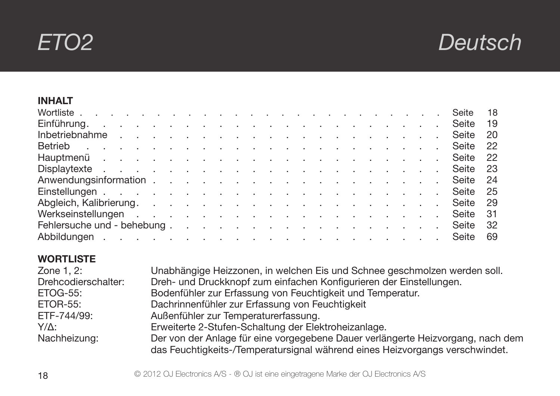# **INHALT**

|  |  |  |  |  |  |  |  |  |  |       | - 18 |
|--|--|--|--|--|--|--|--|--|--|-------|------|
|  |  |  |  |  |  |  |  |  |  |       | - 19 |
|  |  |  |  |  |  |  |  |  |  |       | -20  |
|  |  |  |  |  |  |  |  |  |  |       |      |
|  |  |  |  |  |  |  |  |  |  |       |      |
|  |  |  |  |  |  |  |  |  |  |       |      |
|  |  |  |  |  |  |  |  |  |  |       |      |
|  |  |  |  |  |  |  |  |  |  | Seite | - 25 |
|  |  |  |  |  |  |  |  |  |  | Seite | - 29 |
|  |  |  |  |  |  |  |  |  |  | Seite | - 31 |
|  |  |  |  |  |  |  |  |  |  | Seite | - 32 |
|  |  |  |  |  |  |  |  |  |  |       | 69   |

# **WORTLISTE**

| Zone 1, 2:          | Unabhängige Heizzonen, in welchen Eis und Schnee geschmolzen werden soll.       |
|---------------------|---------------------------------------------------------------------------------|
| Drehcodierschalter: | Dreh- und Druckknopf zum einfachen Konfigurieren der Einstellungen.             |
| ETOG-55:            | Bodenfühler zur Erfassung von Feuchtigkeit und Temperatur.                      |
| <b>ETOR-55:</b>     | Dachrinnenfühler zur Erfassung von Feuchtigkeit                                 |
| ETF-744/99:         | Außenfühler zur Temperaturerfassung.                                            |
| $Y/\Delta$ :        | Erweiterte 2-Stufen-Schaltung der Elektroheizanlage.                            |
| Nachheizung:        | Der von der Anlage für eine vorgegebene Dauer verlängerte Heizvorgang, nach dem |
|                     | das Feuchtigkeits-/Temperatursignal während eines Heizvorgangs verschwindet.    |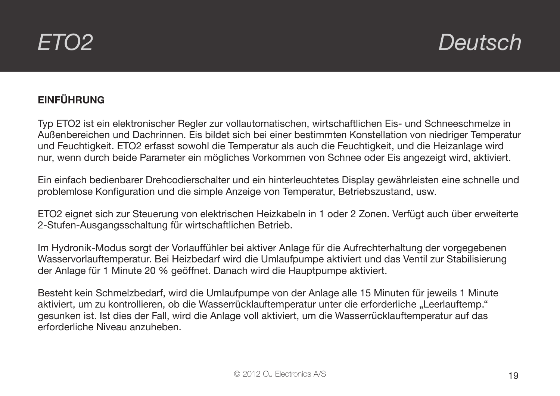



# **EINFÜHRUNG**

Typ ETO2 ist ein elektronischer Regler zur vollautomatischen, wirtschaftlichen Eis- und Schneeschmelze in Außenbereichen und Dachrinnen. Eis bildet sich bei einer bestimmten Konstellation von niedriger Temperatur und Feuchtigkeit. ETO2 erfasst sowohl die Temperatur als auch die Feuchtigkeit, und die Heizanlage wird nur, wenn durch beide Parameter ein mögliches Vorkommen von Schnee oder Eis angezeigt wird, aktiviert.

Ein einfach bedienbarer Drehcodierschalter und ein hinterleuchtetes Display gewährleisten eine schnelle und problemlose Konfiguration und die simple Anzeige von Temperatur, Betriebszustand, usw.

ETO2 eignet sich zur Steuerung von elektrischen Heizkabeln in 1 oder 2 Zonen. Verfügt auch über erweiterte 2-Stufen-Ausgangsschaltung für wirtschaftlichen Betrieb.

Im Hydronik-Modus sorgt der Vorlauffühler bei aktiver Anlage für die Aufrechterhaltung der vorgegebenen Wasservorlauftemperatur. Bei Heizbedarf wird die Umlaufpumpe aktiviert und das Ventil zur Stabilisierung der Anlage für 1 Minute 20 % geöffnet. Danach wird die Hauptpumpe aktiviert.

Besteht kein Schmelzbedarf, wird die Umlaufpumpe von der Anlage alle 15 Minuten für jeweils 1 Minute aktiviert, um zu kontrollieren, ob die Wasserrücklauftemperatur unter die erforderliche "Leerlauftemp." gesunken ist. Ist dies der Fall, wird die Anlage voll aktiviert, um die Wasserrücklauftemperatur auf das erforderliche Niveau anzuheben.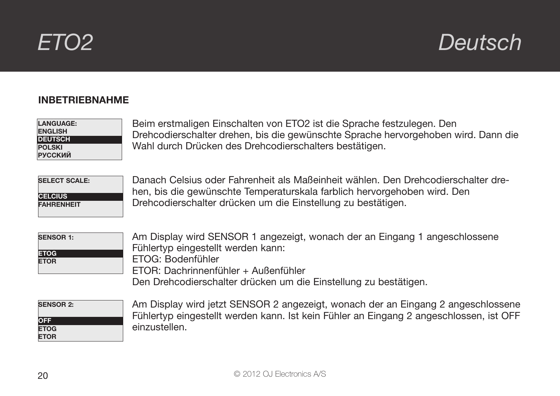

### **INBETRIEBNAHME**

| LANGUAGE:      |  |
|----------------|--|
| <b>ENGLISH</b> |  |
| <b>DEUTSCH</b> |  |
| <b>POLSKI</b>  |  |
| <b>РУССКИЙ</b> |  |

Beim erstmaligen Einschalten von ETO2 ist die Sprache festzulegen. Den Drehcodierschalter drehen, bis die gewünschte Sprache hervorgehoben wird. Dann die Wahl durch Drücken des Drehcodierschalters bestätigen.

| <b>SELECT SCALE:</b> |  |
|----------------------|--|
| <b>CELCIUS</b>       |  |
| <b>FAHRENHEIT</b>    |  |
|                      |  |

Danach Celsius oder Fahrenheit als Maßeinheit wählen. Den Drehcodierschalter drehen, bis die gewünschte Temperaturskala farblich hervorgehoben wird. Den Drehcodierschalter drücken um die Einstellung zu bestätigen.

| <b>SENSOR 1:</b> |  |
|------------------|--|
| <b>ETOG</b>      |  |
| <b>ETOR</b>      |  |
|                  |  |

Am Display wird SENSOR 1 angezeigt, wonach der an Eingang 1 angeschlossene Fühlertyp eingestellt werden kann: ETOG: Bodenfühler

ETOR: Dachrinnenfühler + Außenfühler

Den Drehcodierschalter drücken um die Einstellung zu bestätigen.

| <b>SENSOR 2:</b> |  |
|------------------|--|
| <b>OFF</b>       |  |
| <b>ETOG</b>      |  |
| <b>ETOR</b>      |  |

Am Display wird jetzt SENSOR 2 angezeigt, wonach der an Eingang 2 angeschlossene Fühlertyp eingestellt werden kann. Ist kein Fühler an Eingang 2 angeschlossen, ist OFF einzustellen.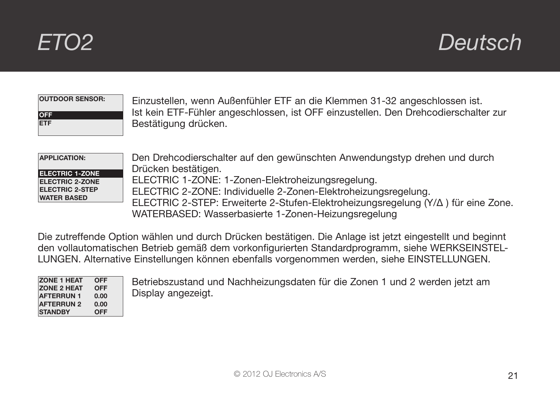

| <b>OUTDOOR SENSOR:</b> |  |
|------------------------|--|
| <b>OFF</b>             |  |
| ETF                    |  |

Einzustellen, wenn Außenfühler ETF an die Klemmen 31-32 angeschlossen ist. Ist kein ETF-Fühler angeschlossen, ist OFF einzustellen. Den Drehcodierschalter zur Bestätigung drücken.

| <b>APPLICATION:</b>    |  |
|------------------------|--|
| <b>ELECTRIC 1-ZONE</b> |  |
| <b>ELECTRIC 2-ZONE</b> |  |
| <b>ELECTRIC 2-STEP</b> |  |
| <b>WATER BASED</b>     |  |

Den Drehcodierschalter auf den gewünschten Anwendungstyp drehen und durch Drücken bestätigen.<br>
ELFCTPIC ELECTRIC 1-ZONE: 1-Zonen-Elektroheizungsregelung. ELECTRIC 2-ZONE: Individuelle 2-Zonen-Elektroheizungsregelung.

ELECTRIC 2-STEP: Erweiterte 2-Stufen-Elektroheizungsregelung (Y/Δ ) für eine Zone. WATERBASED: Wasserbasierte 1-Zonen-Heizungsregelung

Die zutreffende Option wählen und durch Drücken bestätigen. Die Anlage ist jetzt eingestellt und beginnt den vollautomatischen Betrieb gemäß dem vorkonfigurierten Standardprogramm, siehe WERKSEINSTEL-LUNGEN. Alternative Einstellungen können ebenfalls vorgenommen werden, siehe EINSTELLUNGEN.

| ZONE 1 HEAT    | OFF        |
|----------------|------------|
| ZONE 2 HEAT    | <b>OFF</b> |
| AFTERRUN 1     | 0.00       |
| AFTERRUN 2     | 0.00       |
| <b>STANDBY</b> | <b>OFF</b> |

Betriebszustand und Nachheizungsdaten für die Zonen 1 und 2 werden jetzt am Display angezeigt.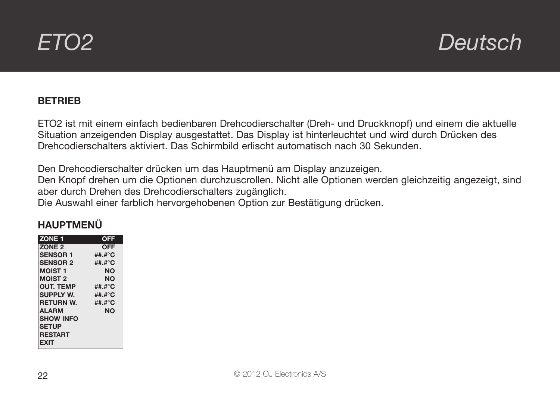



### **BETRIEB**

ETO2 ist mit einem einfach bedienbaren Drehcodierschalter (Dreh- und Druckknopf) und einem die aktuelle Situation anzeigenden Display ausgestattet. Das Display ist hinterleuchtet und wird durch Drücken des Drehcodierschalters aktiviert. Das Schirmbild erlischt automatisch nach 30 Sekunden.

Den Drehcodierschalter drücken um das Hauptmenü am Display anzuzeigen.

Den Knopf drehen um die Optionen durchzuscrollen. Nicht alle Optionen werden gleichzeitig angezeigt, sind aber durch Drehen des Drehcodierschalters zugänglich.

Die Auswahl einer farblich hervorgehobenen Option zur Bestätigung drücken.

## **HAUPTMENÜ**

| ZONE <sub>1</sub> | OFF       |
|-------------------|-----------|
| ZONE <sub>2</sub> | OFF       |
| <b>SENSOR 1</b>   | ##.#°C    |
| <b>SENSOR 2</b>   | ##.#°C    |
| <b>MOIST1</b>     | <b>NO</b> |
| <b>MOIST 2</b>    | <b>NO</b> |
| <b>OUT, TEMP</b>  | ##.#°C    |
| <b>SUPPLY W.</b>  | ##.#°C    |
| <b>RETURN W.</b>  | ##.#°C    |
| <b>ALARM</b>      | <b>NO</b> |
| <b>SHOW INFO</b>  |           |
| <b>SETUP</b>      |           |
| <b>RESTART</b>    |           |
| <b>EXIT</b>       |           |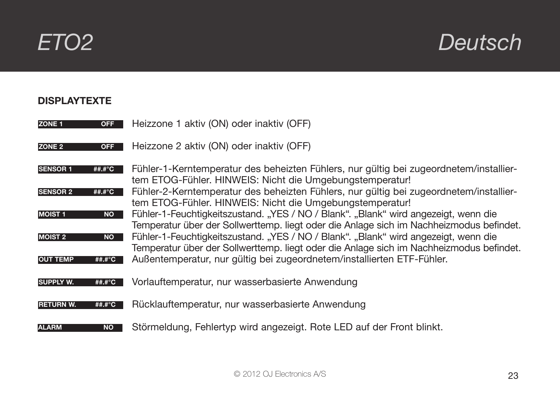## **DISPLAYTEXTE**

| ZONE <sub>1</sub><br><b>OFF</b>     | Heizzone 1 aktiv (ON) oder inaktiv (OFF)                                                                                                                                       |
|-------------------------------------|--------------------------------------------------------------------------------------------------------------------------------------------------------------------------------|
| ZONE <sub>2</sub><br><b>OFF</b>     | Heizzone 2 aktiv (ON) oder inaktiv (OFF)                                                                                                                                       |
| <b>SENSOR 1</b><br>##.# $\degree$ C | Fühler-1-Kerntemperatur des beheizten Fühlers, nur gültig bei zugeordnetem/installier-<br>tem ETOG-Fühler. HINWEIS: Nicht die Umgebungstemperatur!                             |
| <b>SENSOR 2</b><br>## #°C           | Fühler-2-Kerntemperatur des beheizten Fühlers, nur gültig bei zugeordnetem/installier-<br>tem ETOG-Fühler. HINWEIS: Nicht die Umgebungstemperatur!                             |
| <b>MOIST 1</b><br><b>NO</b>         | Fühler-1-Feuchtigkeitszustand. "YES / NO / Blank". "Blank" wird angezeigt, wenn die<br>Temperatur über der Sollwerttemp. liegt oder die Anlage sich im Nachheizmodus befindet. |
| <b>MOIST 2</b><br><b>NO</b>         | Fühler-1-Feuchtigkeitszustand. "YES / NO / Blank". "Blank" wird angezeigt, wenn die<br>Temperatur über der Sollwerttemp. liegt oder die Anlage sich im Nachheizmodus befindet. |
| <b>OUT TEMP</b><br>##.#°C           | Außentemperatur, nur gültig bei zugeordnetem/installierten ETF-Fühler.                                                                                                         |
| <b>SUPPLY W.</b><br>##.#°C          | Vorlauftemperatur, nur wasserbasierte Anwendung                                                                                                                                |
| <b>RETURN W.</b><br>##.#°C          | Rücklauftemperatur, nur wasserbasierte Anwendung                                                                                                                               |
| <b>ALARM</b><br><b>NO</b>           | Störmeldung, Fehlertyp wird angezeigt. Rote LED auf der Front blinkt.                                                                                                          |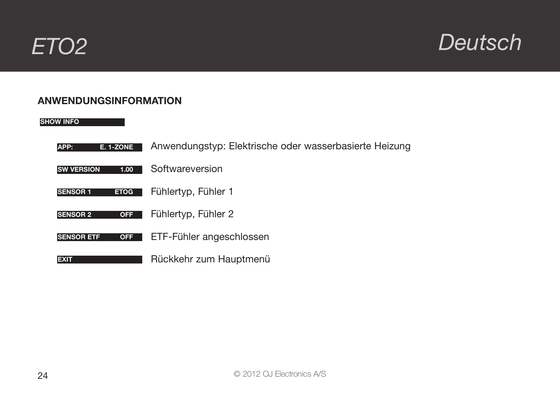

## **ANWENDUNGSINFORMATION**

**SHOW INFO**

| <b>E. 1-ZONE</b><br>APP:        | Anwendungstyp: Elektrische oder wasserbasierte Heizung |
|---------------------------------|--------------------------------------------------------|
| <b>SW VERSION</b><br>1.00       | Softwareversion                                        |
| <b>ETOG</b><br><b>SENSOR 1</b>  | Fühlertyp, Fühler 1                                    |
| <b>SENSOR 2</b><br><b>OFF</b>   | Fühlertyp, Fühler 2                                    |
| <b>SENSOR ETF</b><br><b>OFF</b> | ETF-Fühler angeschlossen                               |
| <b>EXIT</b>                     | Rückkehr zum Hauptmenü                                 |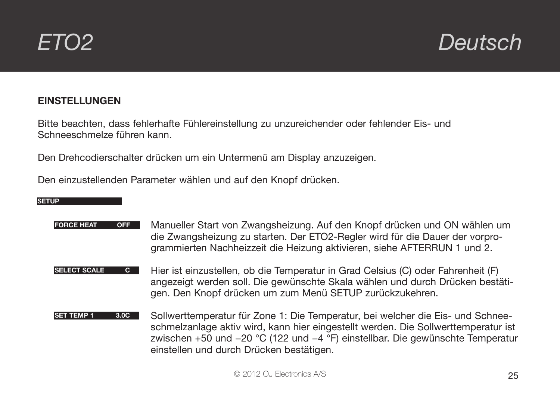## **EINSTELLUNGEN**

Bitte beachten, dass fehlerhafte Fühlereinstellung zu unzureichender oder fehlender Eis- und Schneeschmelze führen kann.

Den Drehcodierschalter drücken um ein Untermenü am Display anzuzeigen.

Den einzustellenden Parameter wählen und auf den Knopf drücken.

#### **SETUP**

| <b>FORCE HEAT</b><br><b>OFF</b> | Manueller Start von Zwangsheizung. Auf den Knopf drücken und ON wählen um<br>die Zwangsheizung zu starten. Der ETO2-Regler wird für die Dauer der vorpro-<br>grammierten Nachheizzeit die Heizung aktivieren, siehe AFTERRUN 1 und 2.                                                                   |
|---------------------------------|---------------------------------------------------------------------------------------------------------------------------------------------------------------------------------------------------------------------------------------------------------------------------------------------------------|
| <b>SELECT SCALE</b><br>C.       | Hier ist einzustellen, ob die Temperatur in Grad Celsius (C) oder Fahrenheit (F)<br>angezeigt werden soll. Die gewünschte Skala wählen und durch Drücken bestäti-<br>gen. Den Knopf drücken um zum Menü SETUP zurückzukehren.                                                                           |
| <b>SET TEMP 1</b><br>3.0C       | Sollwerttemperatur für Zone 1: Die Temperatur, bei welcher die Eis- und Schnee-<br>schmelzanlage aktiv wird, kann hier eingestellt werden. Die Sollwerttemperatur ist<br>zwischen +50 und $-20$ °C (122 und $-4$ °F) einstellbar. Die gewünschte Temperatur<br>einstellen und durch Drücken bestätigen. |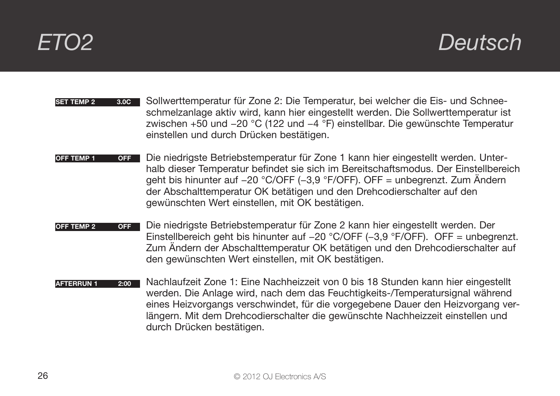- Sollwerttemperatur für Zone 2: Die Temperatur, bei welcher die Eis- und Schneeschmelzanlage aktiv wird, kann hier eingestellt werden. Die Sollwerttemperatur ist zwischen +50 und −20 °C (122 und −4 °F) einstellbar. Die gewünschte Temperatur einstellen und durch Drücken bestätigen. **SET TEMP 2 3.0C**
- Die niedrigste Betriebstemperatur für Zone 1 kann hier eingestellt werden. Unterhalb dieser Temperatur befindet sie sich im Bereitschaftsmodus. Der Einstellbereich geht bis hinunter auf −20 °C/OFF (−3,9 °F/OFF). OFF = unbegrenzt. Zum Ändern der Abschalttemperatur OK betätigen und den Drehcodierschalter auf den gewünschten Wert einstellen, mit OK bestätigen. **OFF TEMP 1 OFF**
- Die niedrigste Betriebstemperatur für Zone 2 kann hier eingestellt werden. Der Einstellbereich geht bis hinunter auf −20 °C/OFF (−3,9 °F/OFF). OFF = unbegrenzt. Zum Ändern der Abschalttemperatur OK betätigen und den Drehcodierschalter auf den gewünschten Wert einstellen, mit OK bestätigen. **OFF TEMP 2 OFF**
- Nachlaufzeit Zone 1: Eine Nachheizzeit von 0 bis 18 Stunden kann hier eingestellt werden. Die Anlage wird, nach dem das Feuchtigkeits-/Temperatursignal während eines Heizvorgangs verschwindet, für die vorgegebene Dauer den Heizvorgang verlängern. Mit dem Drehcodierschalter die gewünschte Nachheizzeit einstellen und durch Drücken bestätigen. **AFTERRUN 1 2:00**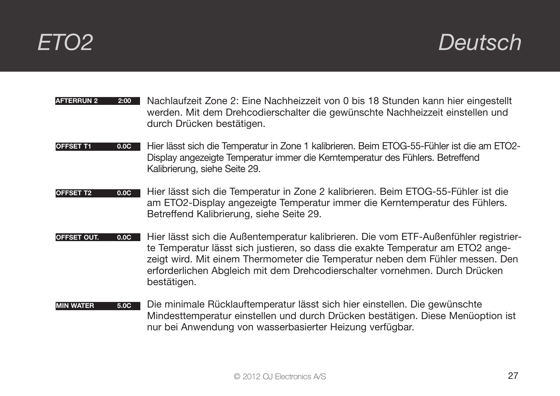



- Nachlaufzeit Zone 2: Eine Nachheizzeit von 0 bis 18 Stunden kann hier eingestellt werden. Mit dem Drehcodierschalter die gewünschte Nachheizzeit einstellen und durch Drücken bestätigen. **AFTERRUN 2 2:00**
- Hier lässt sich die Temperatur in Zone 1 kalibrieren. Beim ETOG-55-Fühler ist die am ETO2- Display angezeigte Temperatur immer die Kerntemperatur des Fühlers. Betreffend Kalibrierung, siehe Seite 29. **OFFSET T1 0.0C**
- Hier lässt sich die Temperatur in Zone 2 kalibrieren. Beim ETOG-55-Fühler ist die am ETO2-Display angezeigte Temperatur immer die Kerntemperatur des Fühlers. Betreffend Kalibrierung, siehe Seite 29. **OFFSET T2 0.0C**
- Hier lässt sich die Außentemperatur kalibrieren. Die vom ETF-Außenfühler registrierte Temperatur lässt sich justieren, so dass die exakte Temperatur am ETO2 angezeigt wird. Mit einem Thermometer die Temperatur neben dem Fühler messen. Den erforderlichen Abgleich mit dem Drehcodierschalter vornehmen. Durch Drücken bestätigen. **OFFSET OUT. 0.0C**
- Die minimale Rücklauftemperatur lässt sich hier einstellen. Die gewünschte Mindesttemperatur einstellen und durch Drücken bestätigen. Diese Menüoption ist nur bei Anwendung von wasserbasierter Heizung verfügbar. **MIN WATER 5.0C**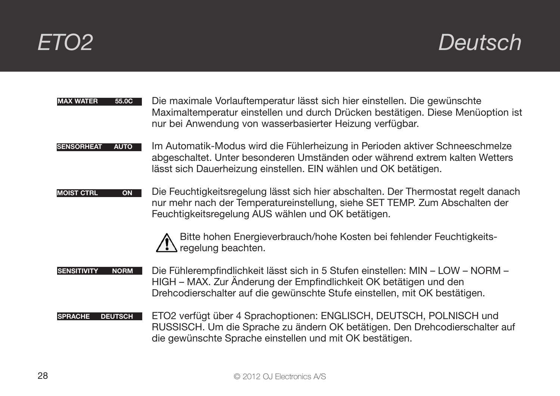| 55.0C<br><b>MAX WATER</b>         | Die maximale Vorlauftemperatur lässt sich hier einstellen. Die gewünschte<br>Maximaltemperatur einstellen und durch Drücken bestätigen. Diese Menüoption ist<br>nur bei Anwendung von wasserbasierter Heizung verfügbar.           |
|-----------------------------------|------------------------------------------------------------------------------------------------------------------------------------------------------------------------------------------------------------------------------------|
| <b>SENSORHEAT</b><br><b>AUTO</b>  | Im Automatik-Modus wird die Fühlerheizung in Perioden aktiver Schneeschmelze<br>abgeschaltet. Unter besonderen Umständen oder während extrem kalten Wetters<br>lässt sich Dauerheizung einstellen. EIN wählen und OK betätigen.    |
| <b>MOIST CTRL</b><br>ON           | Die Feuchtigkeitsregelung lässt sich hier abschalten. Der Thermostat regelt danach<br>nur mehr nach der Temperatureinstellung, siehe SET TEMP. Zum Abschalten der<br>Feuchtigkeitsregelung AUS wählen und OK betätigen.            |
|                                   | Bitte hohen Energieverbrauch/hohe Kosten bei fehlender Feuchtigkeits-<br>regelung beachten.                                                                                                                                        |
| <b>NORM</b><br><b>SENSITIVITY</b> | Die Fühlerempfindlichkeit lässt sich in 5 Stufen einstellen: MIN - LOW - NORM -<br>HIGH – MAX. Zur Anderung der Empfindlichkeit OK betätigen und den<br>Drehcodierschalter auf die gewünschte Stufe einstellen, mit OK bestätigen. |
| <b>SPRACHE</b><br><b>DEUTSCH</b>  | ETO2 verfügt über 4 Sprachoptionen: ENGLISCH, DEUTSCH, POLNISCH und<br>RUSSISCH. Um die Sprache zu ändern OK betätigen. Den Drehcodierschalter auf<br>die gewünschte Sprache einstellen und mit OK bestätigen.                     |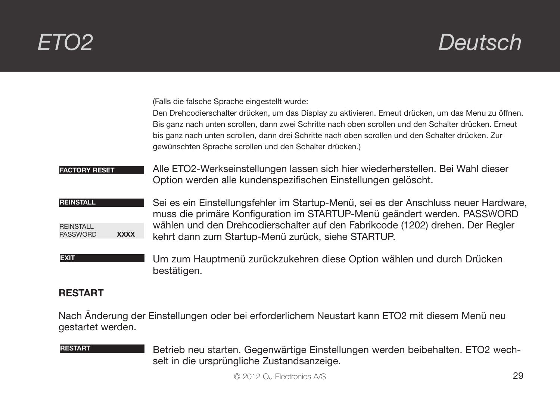(Falls die falsche Sprache eingestellt wurde:

Den Drehcodierschalter drücken, um das Display zu aktivieren. Erneut drücken, um das Menu zu öffnen. Bis ganz nach unten scrollen, dann zwei Schritte nach oben scrollen und den Schalter drücken. Erneut bis ganz nach unten scrollen, dann drei Schritte nach oben scrollen und den Schalter drücken. Zur gewünschten Sprache scrollen und den Schalter drücken.)

#### Alle ETO2-Werkseinstellungen lassen sich hier wiederherstellen. Bei Wahl dieser Option werden alle kundenspezifischen Einstellungen gelöscht. **FACTORY RESET**

| <b>REINSTALL</b> |             |
|------------------|-------------|
| <b>REINSTALL</b> |             |
| <b>PASSWORD</b>  | <b>XXXX</b> |

Sei es ein Einstellungsfehler im Startup-Menü, sei es der Anschluss neuer Hardware, muss die primäre Konfiguration im STARTUP-Menü geändert werden. PASSWORD wählen und den Drehcodierschalter auf den Fabrikcode (1202) drehen. Der Regler kehrt dann zum Startup-Menü zurück, siehe STARTUP.

**EXIT** 

Um zum Hauptmenü zurückzukehren diese Option wählen und durch Drücken bestätigen.

## **RESTART**

Nach Änderung der Einstellungen oder bei erforderlichem Neustart kann ETO2 mit diesem Menü neu gestartet werden.

#### **RESTART**

Betrieb neu starten. Gegenwärtige Einstellungen werden beibehalten. ETO2 wechselt in die ursprüngliche Zustandsanzeige.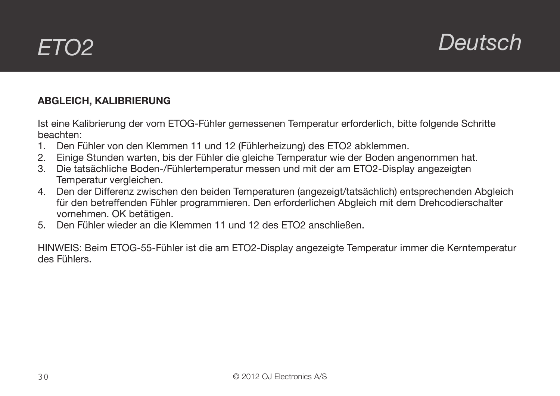

# Deutsch

## **ABGLEICH, KALIBRIERUNG**

Ist eine Kalibrierung der vom ETOG-Fühler gemessenen Temperatur erforderlich, bitte folgende Schritte beachten:

- 1. Den Fühler von den Klemmen 11 und 12 (Fühlerheizung) des ETO2 abklemmen.
- 2. Einige Stunden warten, bis der Fühler die gleiche Temperatur wie der Boden angenommen hat.
- 3. Die tatsächliche Boden-/Fühlertemperatur messen und mit der am ETO2-Display angezeigten Temperatur vergleichen.
- 4. Den der Differenz zwischen den beiden Temperaturen (angezeigt/tatsächlich) entsprechenden Abgleich für den betreffenden Fühler programmieren. Den erforderlichen Abgleich mit dem Drehcodierschalter vornehmen. OK betätigen.
- 5. Den Fühler wieder an die Klemmen 11 und 12 des ETO2 anschließen.

HINWEIS: Beim ETOG-55-Fühler ist die am ETO2-Display angezeigte Temperatur immer die Kerntemperatur des Fühlers.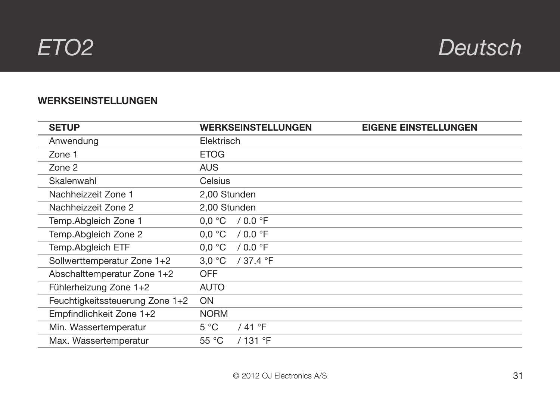

## **WERKSEINSTELLUNGEN**

| <b>SETUP</b>                    | <b>WERKSEINSTELLUNGEN</b> | <b>EIGENE EINSTELLUNGEN</b> |
|---------------------------------|---------------------------|-----------------------------|
| Anwendung                       | Elektrisch                |                             |
| Zone 1                          | <b>ETOG</b>               |                             |
| Zone 2                          | <b>AUS</b>                |                             |
| Skalenwahl                      | Celsius                   |                             |
| Nachheizzeit Zone 1             | 2,00 Stunden              |                             |
| Nachheizzeit Zone 2             | 2,00 Stunden              |                             |
| Temp.Abgleich Zone 1            | / 0.0 °F<br>0.0 °C        |                             |
| Temp.Abgleich Zone 2            | $/0.0$ °F<br>0.0 °C       |                             |
| Temp.Abgleich ETF               | 0.0 °C<br>$/0.0$ °F       |                             |
| Sollwerttemperatur Zone 1+2     | 3.0 °C<br>/ 37.4 °F       |                             |
| Abschalttemperatur Zone 1+2     | OFF                       |                             |
| Fühlerheizung Zone 1+2          | <b>AUTO</b>               |                             |
| Feuchtigkeitssteuerung Zone 1+2 | ON                        |                             |
| Empfindlichkeit Zone 1+2        | <b>NORM</b>               |                             |
| Min. Wassertemperatur           | / 41 °F<br>5 °C           |                             |
| Max. Wassertemperatur           | / 131 °F<br>55 °C         |                             |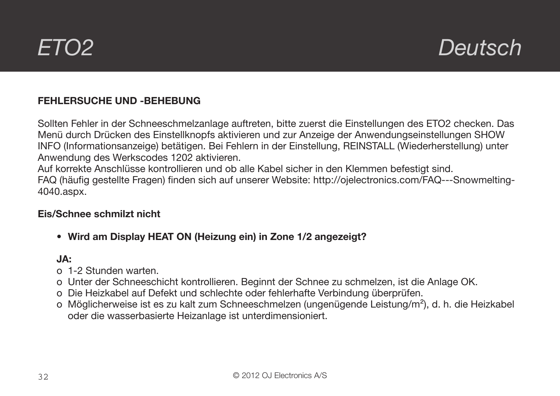

### **FEHLERSUCHE UND -BEHEBUNG**

Sollten Fehler in der Schneeschmelzanlage auftreten, bitte zuerst die Einstellungen des ETO2 checken. Das Menü durch Drücken des Einstellknopfs aktivieren und zur Anzeige der Anwendungseinstellungen SHOW INFO (Informationsanzeige) betätigen. Bei Fehlern in der Einstellung, REINSTALL (Wiederherstellung) unter Anwendung des Werkscodes 1202 aktivieren.

Auf korrekte Anschlüsse kontrollieren und ob alle Kabel sicher in den Klemmen befestigt sind. FAQ (häufig gestellte Fragen) finden sich auf unserer Website: http://ojelectronics.com/FAQ---Snowmelting-4040.aspx.

### **Eis/Schnee schmilzt nicht**

**• Wird am Display HEAT ON (Heizung ein) in Zone 1/2 angezeigt?**

### **JA:**

- o 1-2 Stunden warten.
- o Unter der Schneeschicht kontrollieren. Beginnt der Schnee zu schmelzen, ist die Anlage OK.
- o Die Heizkabel auf Defekt und schlechte oder fehlerhafte Verbindung überprüfen.
- o Möglicherweise ist es zu kalt zum Schneeschmelzen (ungenügende Leistung/m²), d. h. die Heizkabel oder die wasserbasierte Heizanlage ist unterdimensioniert.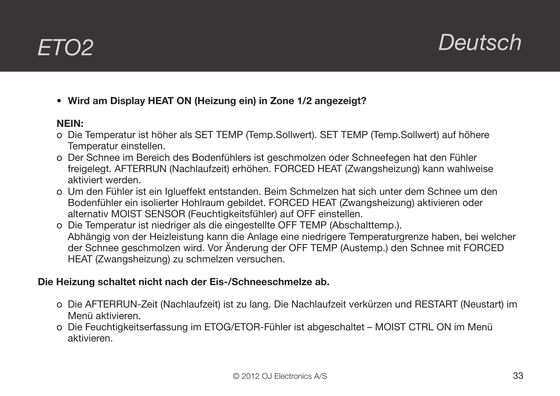

**• Wird am Display HEAT ON (Heizung ein) in Zone 1/2 angezeigt?**

### **NEIN:**

- o Die Temperatur ist höher als SET TEMP (Temp.Sollwert). SET TEMP (Temp.Sollwert) auf höhere Temperatur einstellen.
- o Der Schnee im Bereich des Bodenfühlers ist geschmolzen oder Schneefegen hat den Fühler freigelegt. AFTERRUN (Nachlaufzeit) erhöhen. FORCED HEAT (Zwangsheizung) kann wahlweise aktiviert werden.
- o Um den Fühler ist ein Iglueffekt entstanden. Beim Schmelzen hat sich unter dem Schnee um den Bodenfühler ein isolierter Hohlraum gebildet. FORCED HEAT (Zwangsheizung) aktivieren oder alternativ MOIST SENSOR (Feuchtigkeitsfühler) auf OFF einstellen.
- o Die Temperatur ist niedriger als die eingestellte OFF TEMP (Abschalttemp.). Abhängig von der Heizleistung kann die Anlage eine niedrigere Temperaturgrenze haben, bei welcher der Schnee geschmolzen wird. Vor Änderung der OFF TEMP (Austemp.) den Schnee mit FORCED HEAT (Zwangsheizung) zu schmelzen versuchen.

### **Die Heizung schaltet nicht nach der Eis-/Schneeschmelze ab.**

- o Die AFTERRUN-Zeit (Nachlaufzeit) ist zu lang. Die Nachlaufzeit verkürzen und RESTART (Neustart) im Menü aktivieren.
- o Die Feuchtigkeitserfassung im ETOG/ETOR-Fühler ist abgeschaltet MOIST CTRL ON im Menü aktivieren.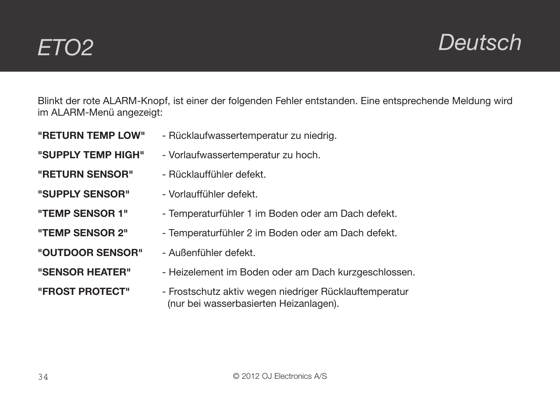# *ETO2*

# Deutsch

Blinkt der rote ALARM-Knopf, ist einer der folgenden Fehler entstanden. Eine entsprechende Meldung wird im ALARM-Menü angezeigt:

- **"RETURN TEMP LOW"** Rücklaufwassertemperatur zu niedrig. **"SUPPLY TEMP HIGH"** - Vorlaufwassertemperatur zu hoch. **"RETURN SENSOR"** - Rücklauffühler defekt. **"SUPPLY SENSOR"** - Vorlauffühler defekt.
	-
- **"TEMP SENSOR 1"** Temperaturfühler 1 im Boden oder am Dach defekt.
- **"TEMP SENSOR 2"** Temperaturfühler 2 im Boden oder am Dach defekt.
- **"OUTDOOR SENSOR"** Außenfühler defekt.
- **"SENSOR HEATER"** Heizelement im Boden oder am Dach kurzgeschlossen.
- **"FROST PROTECT"** Frostschutz aktiv wegen niedriger Rücklauftemperatur (nur bei wasserbasierten Heizanlagen).

© 2012 OJ Electronics A/S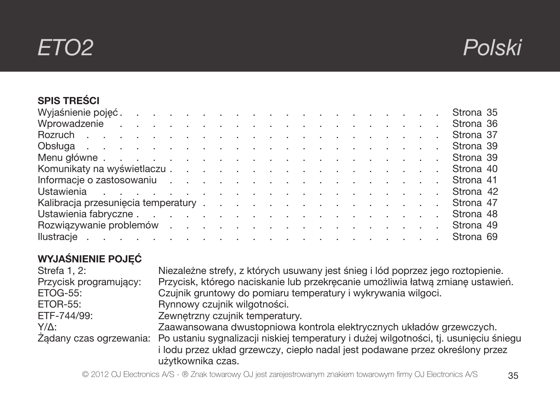# *ETO2*



# **SPIS TREŚCI** Wyjaśnienie pojęć . . . . . . . . . . . . . . . . . . . . Strona 35

| Obsługa regionalnym chronicam chronicam chronicam chronicam chronicam chronicam chronicam chronicam chronicam chronicam chronicam chronicam chronicam chronicam chronicam chronicam chronicam chronicam chronicam chronicam ch |  |  |  |  |  |  |  |  |  |  |  |
|--------------------------------------------------------------------------------------------------------------------------------------------------------------------------------------------------------------------------------|--|--|--|--|--|--|--|--|--|--|--|
|                                                                                                                                                                                                                                |  |  |  |  |  |  |  |  |  |  |  |
|                                                                                                                                                                                                                                |  |  |  |  |  |  |  |  |  |  |  |
| Informacje o zastosowaniu e chronich chronich chronic chronic chronic chronic strona 41                                                                                                                                        |  |  |  |  |  |  |  |  |  |  |  |
|                                                                                                                                                                                                                                |  |  |  |  |  |  |  |  |  |  |  |
|                                                                                                                                                                                                                                |  |  |  |  |  |  |  |  |  |  |  |
|                                                                                                                                                                                                                                |  |  |  |  |  |  |  |  |  |  |  |
|                                                                                                                                                                                                                                |  |  |  |  |  |  |  |  |  |  |  |
|                                                                                                                                                                                                                                |  |  |  |  |  |  |  |  |  |  |  |
|                                                                                                                                                                                                                                |  |  |  |  |  |  |  |  |  |  |  |

# **WYJAŚNIENIE POJĘĆ**

| Niezależne strefy, z których usuwany jest śnieg i lód poprzez jego roztopienie.                                  |
|------------------------------------------------------------------------------------------------------------------|
| Przycisk, którego naciskanie lub przekrecanie umożliwia łatwa zmiane ustawień.                                   |
| Czujnik gruntowy do pomiaru temperatury i wykrywania wilgoci.                                                    |
| Rynnowy czujnik wilgotności.                                                                                     |
| Zewnetrzny czujnik temperatury.                                                                                  |
| Zaawansowana dwustopniowa kontrola elektrycznych układów grzewczych.                                             |
| Po ustaniu sygnalizacji niskiej temperatury i dużej wilgotności, tj. usunięciu śniegu<br>Zadany czas ogrzewania: |
| i lodu przez układ grzewczy, ciepło nadal jest podawane przez określony przez                                    |
| użytkownika czas.                                                                                                |
|                                                                                                                  |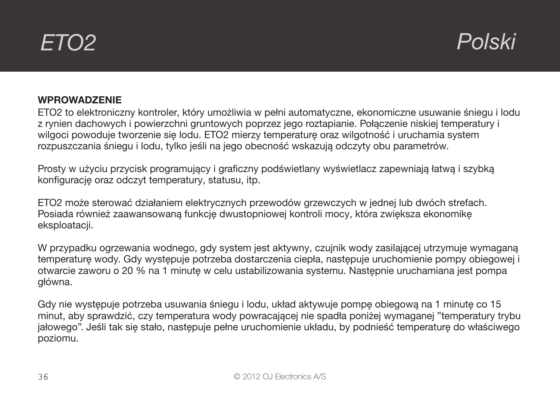

### **WPROWADZENIE**

ETO2 to elektroniczny kontroler, który umożliwia w pełni automatyczne, ekonomiczne usuwanie śniegu i lodu z rynien dachowych i powierzchni gruntowych poprzez jego roztapianie. Połączenie niskiej temperatury i wilgoci powoduje tworzenie się lodu. ETO2 mierzy temperaturę oraz wilgotność i uruchamia system rozpuszczania śniegu i lodu, tylko jeśli na jego obecność wskazują odczyty obu parametrów.

Prosty w użyciu przycisk programujący i graficzny podświetlany wyświetlacz zapewniają łatwą i szybką konfigurację oraz odczyt temperatury, statusu, itp.

ETO2 może sterować działaniem elektrycznych przewodów grzewczych w jednej lub dwóch strefach. Posiada również zaawansowaną funkcję dwustopniowej kontroli mocy, która zwiększa ekonomikę eksploatacji.

W przypadku ogrzewania wodnego, gdy system jest aktywny, czujnik wody zasilającej utrzymuje wymaganą temperaturę wody. Gdy występuje potrzeba dostarczenia ciepła, następuje uruchomienie pompy obiegowej i otwarcie zaworu o 20 % na 1 minutę w celu ustabilizowania systemu. Następnie uruchamiana jest pompa główna.

Gdy nie występuje potrzeba usuwania śniegu i lodu, układ aktywuje pompę obiegową na 1 minutę co 15 minut, aby sprawdzić, czy temperatura wody powracającej nie spadła poniżej wymaganej "temperatury trybu jałowego". Jeśli tak się stało, następuje pełne uruchomienie układu, by podnieść temperaturę do właściwego poziomu.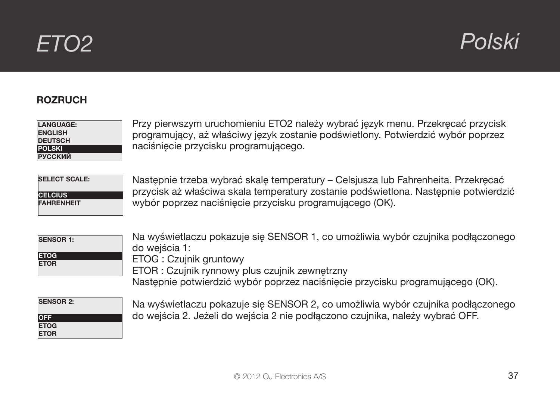



### **ROZRUCH**

| LANGUAGE:      |  |
|----------------|--|
| <b>ENGLISH</b> |  |
| <b>DEUTSCH</b> |  |
| <b>POLSKI</b>  |  |
| <b>РУССКИЙ</b> |  |

Przy pierwszym uruchomieniu ETO2 należy wybrać język menu. Przekręcać przycisk programujący, aż właściwy język zostanie podświetlony. Potwierdzić wybór poprzez naciśnięcie przycisku programującego.

**SELECT SCALE: CELCIUS FAHRENHEIT**

Następnie trzeba wybrać skalę temperatury – Celsjusza lub Fahrenheita. Przekręcać przycisk aż właściwa skala temperatury zostanie podświetlona. Następnie potwierdzić wybór poprzez naciśnięcie przycisku programującego (OK).

| <b>SENSOR 1:</b> |  |
|------------------|--|
| <b>ETOG</b>      |  |
| <b>ETOR</b>      |  |
|                  |  |

Na wyświetlaczu pokazuje się SENSOR 1, co umożliwia wybór czujnika podłączonego do wejścia 1:

ETOG : Czujnik gruntowy

ETOR : Czujnik rynnowy plus czujnik zewnętrzny

Następnie potwierdzić wybór poprzez naciśnięcie przycisku programującego (OK).

| <b>SENSOR 2:</b> |  |
|------------------|--|
| <b>OFF</b>       |  |
| <b>ETOG</b>      |  |
| <b>ETOR</b>      |  |

Na wyświetlaczu pokazuje się SENSOR 2, co umożliwia wybór czujnika podłączonego do wejścia 2. Jeżeli do wejścia 2 nie podłączono czujnika, należy wybrać OFF.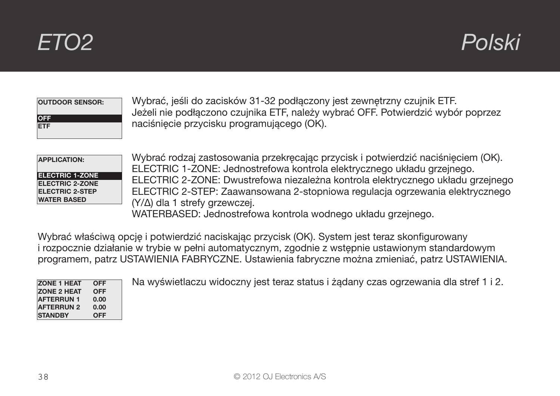

| <b>OUTDOOR SENSOR:</b> |  |
|------------------------|--|
| OFF                    |  |
| <b>ETF</b>             |  |
|                        |  |

Wybrać, jeśli do zacisków 31-32 podłączony jest zewnętrzny czujnik ETF. Jeżeli nie podłączono czujnika ETF, należy wybrać OFF. Potwierdzić wybór poprzez naciśnięcie przycisku programującego (OK).

| <b>APPLICATION:</b>    |
|------------------------|
| <b>ELECTRIC 1-ZONE</b> |
| <b>ELECTRIC 2-ZONE</b> |
| <b>ELECTRIC 2-STEP</b> |
| <b>WATER BASED</b>     |

Wybrać rodzaj zastosowania przekręcając przycisk i potwierdzić naciśnięciem (OK). ELECTRIC 1-ZONE: Jednostrefowa kontrola elektrycznego układu grzejnego. ELECTRIC 2-ZONE: Dwustrefowa niezależna kontrola elektrycznego układu grzejnego ELECTRIC 2-STEP: Zaawansowana 2-stopniowa regulacja ogrzewania elektrycznego (Y/∆) dla 1 strefy grzewczej.

WATERBASED: Jednostrefowa kontrola wodnego układu grzejnego.

Wybrać właściwą opcję i potwierdzić naciskając przycisk (OK). System jest teraz skonfigurowany i rozpocznie działanie w trybie w pełni automatycznym, zgodnie z wstępnie ustawionym standardowym programem, patrz USTAWIENIA FABRYCZNE. Ustawienia fabryczne można zmieniać, patrz USTAWIENIA.

| ZONE 1 HEAT        | OFF                |
|--------------------|--------------------|
| <b>ZONE 2 HEAT</b> | <b>OFF</b>         |
| <b>AFTERRUN1</b>   | 0.00               |
| <b>AFTERRUN 2</b>  | 0.00<br><b>OFF</b> |
| <b>STANDBY</b>     |                    |

Na wyświetlaczu widoczny jest teraz status i żądany czas ogrzewania dla stref 1 i 2.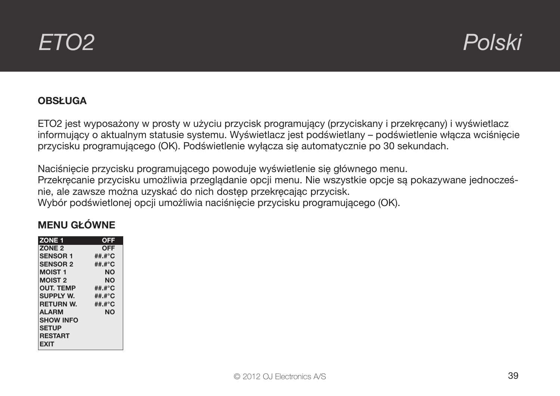



### **OBSŁUGA**

ETO2 jest wyposażony w prosty w użyciu przycisk programujący (przyciskany i przekręcany) i wyświetlacz informujący o aktualnym statusie systemu. Wyświetlacz jest podświetlany – podświetlenie włącza wciśnięcie przycisku programującego (OK). Podświetlenie wyłącza się automatycznie po 30 sekundach.

Naciśnięcie przycisku programującego powoduje wyświetlenie się głównego menu. Przekręcanie przycisku umożliwia przeglądanie opcji menu. Nie wszystkie opcje są pokazywane jednocześnie, ale zawsze można uzyskać do nich dostęp przekręcając przycisk. Wybór podświetlonej opcji umożliwia naciśnięcie przycisku programującego (OK).

## **MENU GŁÓWNE**

| ZONE <sub>1</sub> | OFF       |
|-------------------|-----------|
| ZONE <sub>2</sub> | OFF       |
| <b>SENSOR 1</b>   | ##.#°C    |
| <b>SENSOR 2</b>   | ##.#°C    |
| <b>MOIST1</b>     | <b>NO</b> |
| <b>MOIST 2</b>    | <b>NO</b> |
| <b>OUT, TEMP</b>  | ##.#°C    |
| <b>SUPPLY W.</b>  | ##.#°C    |
| <b>RETURN W.</b>  | ##.#°C    |
| <b>ALARM</b>      | <b>NO</b> |
| <b>SHOW INFO</b>  |           |
| <b>SETUP</b>      |           |
| <b>RESTART</b>    |           |
| <b>EXIT</b>       |           |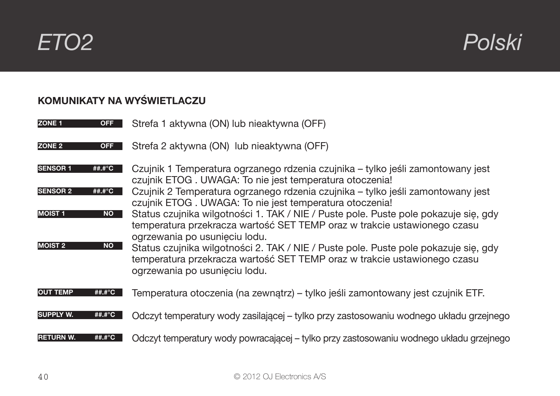# ETO2 Polski

# **KOMUNIKATY NA WYŚWIETLACZU**

| ZONE <sub>1</sub><br><b>OFF</b>      | Strefa 1 aktywna (ON) lub nieaktywna (OFF)                                                                                                                                                       |
|--------------------------------------|--------------------------------------------------------------------------------------------------------------------------------------------------------------------------------------------------|
| ZONE <sub>2</sub><br><b>OFF</b>      | Strefa 2 aktywna (ON) lub nieaktywna (OFF)                                                                                                                                                       |
| <b>SENSOR 1</b><br>##.#°C            | Czujnik 1 Temperatura ogrzanego rdzenia czujnika – tylko jeśli zamontowany jest<br>czujnik ETOG. UWAGA: To nie jest temperatura otoczenia!                                                       |
| <b>SENSOR 2</b><br>##.#°C            | Czujnik 2 Temperatura ogrzanego rdzenia czujnika – tylko jeśli zamontowany jest<br>czujnik ETOG. UWAGA: To nie jest temperatura otoczenia!                                                       |
| <b>MOIST 1</b><br><b>NO</b>          | Status czujnika wilgotności 1. TAK / NIE / Puste pole. Puste pole pokazuje się, gdy<br>temperatura przekracza wartość SET TEMP oraz w trakcie ustawionego czasu<br>ogrzewania po usunięciu lodu. |
| <b>MOIST 2</b><br><b>NO</b>          | Status czujnika wilgotności 2. TAK / NIE / Puste pole. Puste pole pokazuje się, gdy<br>temperatura przekracza wartość SET TEMP oraz w trakcie ustawionego czasu<br>ogrzewania po usunięciu lodu. |
| <b>OUT TEMP</b><br>##.#°C            | Temperatura otoczenia (na zewnątrz) – tylko jeśli zamontowany jest czujnik ETF.                                                                                                                  |
| SUPPLY W.<br>##.#°C                  | Odczyt temperatury wody zasilającej – tylko przy zastosowaniu wodnego układu grzejnego                                                                                                           |
| <b>RETURN W.</b><br>##.# $\degree$ C | Odczyt temperatury wody powracającej – tylko przy zastosowaniu wodnego układu grzejnego                                                                                                          |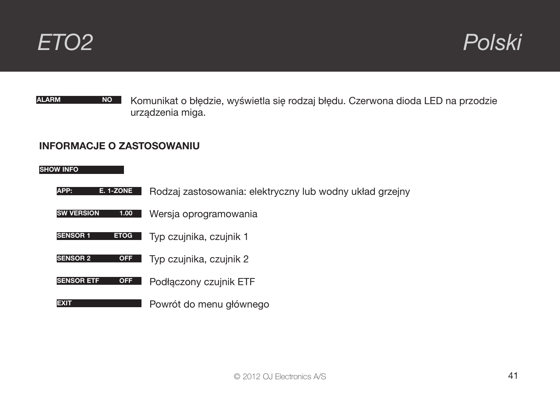



### Komunikat o błędzie, wyświetla się rodzaj błędu. Czerwona dioda LED na przodzie urządzenia miga. **ALARM NO**

### **INFORMACJE O ZASTOSOWANIU**

### **SHOW INFO**

| APP:<br><b>E. 1-ZONE</b>        | Rodzaj zastosowania: elektryczny lub wodny układ grzejny |
|---------------------------------|----------------------------------------------------------|
| <b>SW VERSION</b><br>1.00       | Wersja oprogramowania                                    |
| <b>SENSOR 1</b><br><b>ETOG</b>  | Typ czujnika, czujnik 1                                  |
| <b>SENSOR 2</b><br><b>OFF</b>   | Typ czujnika, czujnik 2                                  |
| <b>SENSOR ETF</b><br><b>OFF</b> | Podłaczony czujnik ETF                                   |
| <b>EXIT</b>                     | Powrót do menu głównego                                  |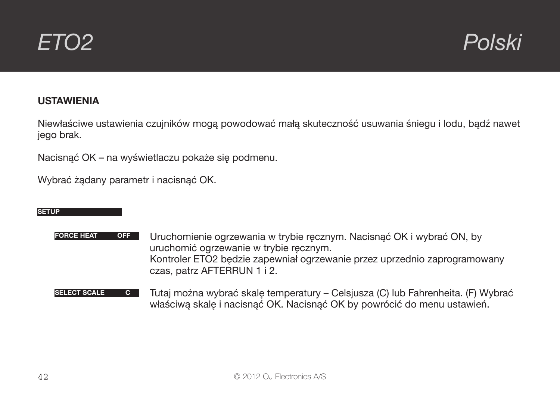



### **USTAWIENIA**

Niewłaściwe ustawienia czujników mogą powodować małą skuteczność usuwania śniegu i lodu, bądź nawet jego brak.

Nacisnąć OK – na wyświetlaczu pokaże się podmenu.

Wybrać żądany parametr i nacisnąć OK.

### **SETUP**

- Uruchomienie ogrzewania w trybie ręcznym. Nacisnąć OK i wybrać ON, by uruchomić ogrzewanie w trybie ręcznym. Kontroler ETO2 będzie zapewniał ogrzewanie przez uprzednio zaprogramowany czas, patrz AFTERRUN 1 i 2. **FORCE HEAT OFF**
- Tutaj można wybrać skalę temperatury Celsjusza (C) lub Fahrenheita. (F) Wybrać właściwą skalę i nacisnąć OK. Nacisnąć OK by powrócić do menu ustawień. **SELECT SCALE C**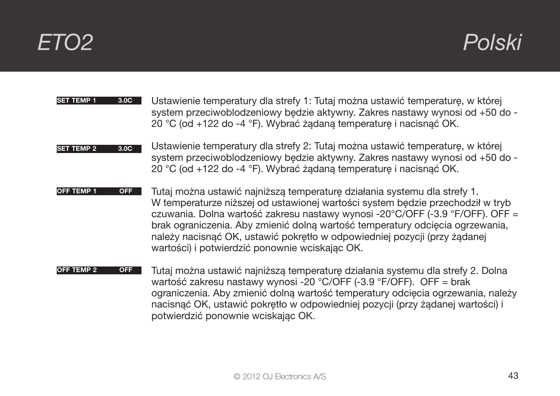# ETO2 Polski

| 3.0C<br><b>SET TEMP 1</b>       | Ustawienie temperatury dla strefy 1: Tutaj można ustawić temperature, w której<br>system przeciwoblodzeniowy bedzie aktywny. Zakres nastawy wynosi od +50 do -<br>20 °C (od +122 do -4 °F). Wybrać żądaną temperaturę i nacisnąć OK.                                                                                                                                                                                                                         |
|---------------------------------|--------------------------------------------------------------------------------------------------------------------------------------------------------------------------------------------------------------------------------------------------------------------------------------------------------------------------------------------------------------------------------------------------------------------------------------------------------------|
| 3.0C<br><b>SET TEMP 2</b>       | Ustawienie temperatury dla strefy 2: Tutaj można ustawić temperature, w której<br>system przeciwoblodzeniowy bedzie aktywny. Zakres nastawy wynosi od +50 do -<br>20 °C (od +122 do -4 °F). Wybrać żadana temperature i nacisnać OK.                                                                                                                                                                                                                         |
| <b>OFF TEMP 1</b><br><b>OFF</b> | Tutaj można ustawić najniższa temperature działania systemu dla strefy 1.<br>W temperaturze niższej od ustawionej wartości system bedzie przechodził w tryb<br>czuwania. Dolna wartość zakresu nastawy wynosi -20°C/OFF (-3.9 °F/OFF). OFF =<br>brak ograniczenia. Aby zmienić dolną wartość temperatury odciecia ogrzewania,<br>należy nacisnać OK, ustawić pokretło w odpowiedniej pozycji (przy żadanej<br>wartości) i potwierdzić ponownie wciskając OK. |
| <b>OFF</b><br><b>OFF TEMP 2</b> | Tutaj można ustawić najniższa temperature działania systemu dla strefy 2. Dolna<br>wartość zakresu nastawy wynosi -20 °C/OFF (-3.9 °F/OFF). OFF = brak<br>ograniczenia. Aby zmienić dolna wartość temperatury odciecia ogrzewania, należy<br>nacisnać OK, ustawić pokrętło w odpowiedniej pozycji (przy żądanej wartości) i<br>potwierdzić ponownie wciskając OK.                                                                                            |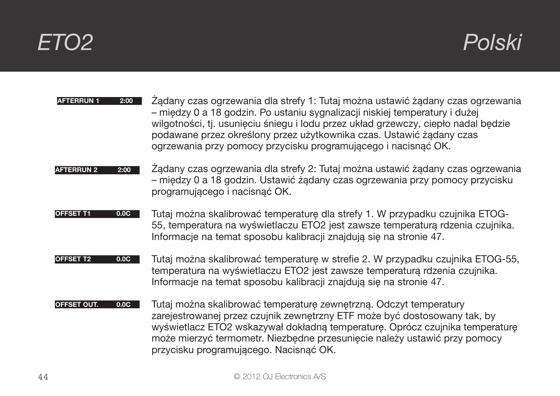

| <b>AFTERRUN 1</b><br>2:00 | Zadany czas ogrzewania dla strefy 1: Tutaj można ustawić żadany czas ogrzewania<br>- miedzy 0 a 18 godzin. Po ustaniu sygnalizacji niskiej temperatury i dużej<br>wilgotności, tj. usunieciu śniegu i lodu przez układ grzewczy, ciepło nadal bedzie<br>podawane przez określony przez użytkownika czas. Ustawić żądany czas<br>ogrzewania przy pomocy przycisku programującego i nacisnąć OK. |
|---------------------------|------------------------------------------------------------------------------------------------------------------------------------------------------------------------------------------------------------------------------------------------------------------------------------------------------------------------------------------------------------------------------------------------|
| <b>AFTERRUN 2</b><br>2:00 | Ządany czas ogrzewania dla strefy 2: Tutaj można ustawić żądany czas ogrzewania<br>– miedzy 0 a 18 godzin. Ustawić żadany czas ogrzewania przy pomocy przycisku<br>programującego i nacisnąć OK.                                                                                                                                                                                               |
| <b>OFFSET T1</b><br>0.0C  | Tutaj można skalibrować temperaturę dla strefy 1. W przypadku czujnika ETOG-<br>55, temperatura na wyświetlaczu ETO2 jest zawsze temperatura rdzenia czujnika.<br>Informacje na temat sposobu kalibracji znajduja się na stronie 47.                                                                                                                                                           |
| 0.0C<br><b>OFFSET T2</b>  | Tutaj można skalibrować temperature w strefie 2. W przypadku czujnika ETOG-55,<br>temperatura na wyświetlaczu ETO2 jest zawsze temperatura rdzenia czujnika.<br>Informacje na temat sposobu kalibracji znajduja się na stronie 47.                                                                                                                                                             |
| OFFSET OUT.<br>0.0C       | Tutaj można skalibrować temperature zewnetrzna. Odczyt temperatury<br>zarejestrowanej przez czujnik zewnętrzny ETF może być dostosowany tak, by<br>wyświetlacz ETO2 wskazywał dokładna temperature. Oprócz czujnika temperature<br>może mierzyć termometr. Niezbedne przesuniecie należy ustawić przy pomocy<br>przycisku programującego. Nacisnąć OK.                                         |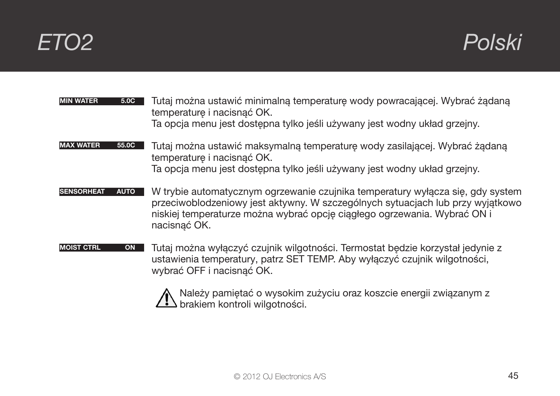# ETO2 Polski

| <b>MIN WATER</b><br>5.0C         | Tutaj można ustawić minimalną temperaturę wody powracającej. Wybrać żądaną<br>temperature i nacisnać OK.<br>Ta opcja menu jest dostepna tylko jeśli używany jest wodny układ grzejny.                                                                        |
|----------------------------------|--------------------------------------------------------------------------------------------------------------------------------------------------------------------------------------------------------------------------------------------------------------|
| <b>MAX WATER</b><br>55.0C        | Tutaj można ustawić maksymalna temperature wody zasilającej. Wybrać żadana<br>temperature i nacisnać OK.<br>Ta opcja menu jest dostepna tylko jeśli używany jest wodny układ grzejny.                                                                        |
| <b>SENSORHEAT</b><br><b>AUTO</b> | W trybie automatycznym ogrzewanie czujnika temperatury wyłącza się, gdy system<br>przeciwoblodzeniowy jest aktywny. W szczególnych sytuacjach lub przy wyjatkowo<br>niskiej temperaturze można wybrać opcję ciągłego ogrzewania. Wybrać ON i<br>nacisnać OK. |
| <b>MOIST CTRL</b><br>ON          | Tutaj można wyłączyć czujnik wilgotności. Termostat bedzie korzystał jedynie z<br>ustawienia temperatury, patrz SET TEMP. Aby wyłączyć czujnik wilgotności,<br>wybrać OFF i nacisnać OK.                                                                     |

Należy pamiętać o wysokim zużyciu oraz koszcie energii związanym z brakiem kontroli wilgotności.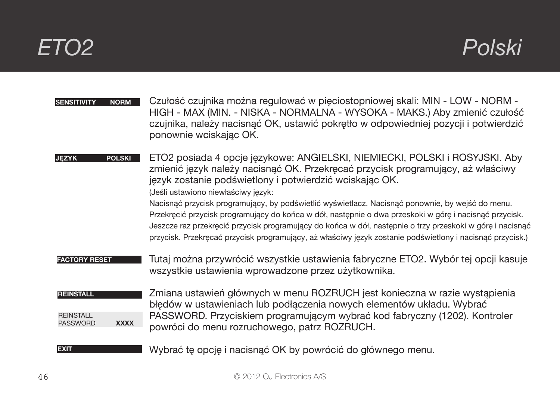| <b>SENSITIVITY</b><br><b>NORM</b>                                      | Czułość czujnika można regulować w pieciostopniowej skali: MIN - LOW - NORM -<br>HIGH - MAX (MIN. - NISKA - NORMALNA - WYSOKA - MAKS.) Aby zmienić czułość<br>czujnika, należy nacisnać OK, ustawić pokretło w odpowiedniej pozycji i potwierdzić<br>ponownie wciskając OK.                                                                                                                                                                                                                                                                                                                                                                                                                              |
|------------------------------------------------------------------------|----------------------------------------------------------------------------------------------------------------------------------------------------------------------------------------------------------------------------------------------------------------------------------------------------------------------------------------------------------------------------------------------------------------------------------------------------------------------------------------------------------------------------------------------------------------------------------------------------------------------------------------------------------------------------------------------------------|
| <b>JEZYK</b><br><b>POLSKI</b>                                          | ETO2 posiada 4 opcje językowe: ANGIELSKI, NIEMIECKI, POLSKI i ROSYJSKI. Aby<br>zmienić jezyk należy nacisnąć OK. Przekrecać przycisk programujący, aż właściwy<br>jezyk zostanie podświetlony i potwierdzić wciskając OK.<br>(Jeśli ustawiono niewłaściwy język:<br>Nacisnąć przycisk programujący, by podświetlić wyświetlacz. Nacisnąć ponownie, by wejść do menu.<br>Przekręcić przycisk programujący do końca w dół, następnie o dwa przeskoki w górę i nacisnąć przycisk.<br>Jeszcze raz przekręcić przycisk programujący do końca w dół, następnie o trzy przeskoki w górę i nacisnąć<br>przycisk. Przekręcać przycisk programujący, aż właściwy język zostanie podświetlony i nacisnąć przycisk.) |
| <b>FACTORY RESET</b>                                                   | Tutaj można przywrócić wszystkie ustawienia fabryczne ETO2. Wybór tej opcji kasuje<br>wszystkie ustawienia wprowadzone przez użytkownika.                                                                                                                                                                                                                                                                                                                                                                                                                                                                                                                                                                |
| <b>REINSTALL</b><br><b>REINSTALL</b><br><b>XXXX</b><br><b>PASSWORD</b> | Zmiana ustawień głównych w menu ROZRUCH jest konieczna w razie wystąpienia<br>błedów w ustawieniach lub podłaczenia nowych elementów układu. Wybrać<br>PASSWORD. Przyciskiem programującym wybrać kod fabryczny (1202). Kontroler<br>powróci do menu rozruchowego, patrz ROZRUCH.                                                                                                                                                                                                                                                                                                                                                                                                                        |
| <b>EXIT</b>                                                            | Wybrać te opcje i nacisnać OK by powrócić do głównego menu.                                                                                                                                                                                                                                                                                                                                                                                                                                                                                                                                                                                                                                              |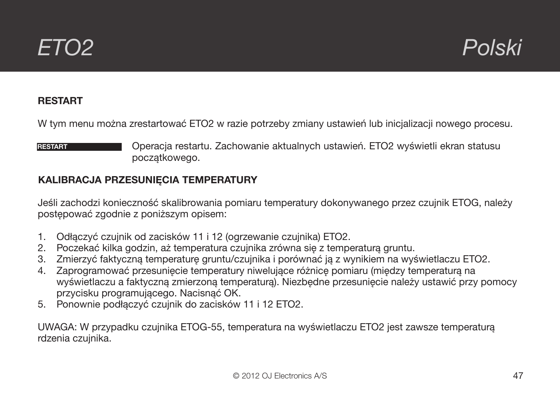



### **RESTART**

W tym menu można zrestartować FTO2 w razie potrzeby zmiany ustawień lub inicializacji nowego procesu.

**RESTART**

Operacja restartu. Zachowanie aktualnych ustawień. ETO2 wyświetli ekran statusu początkowego.

### **KALIBRACJA PRZESUNIĘCIA TEMPERATURY**

Jeśli zachodzi konieczność skalibrowania pomiaru temperatury dokonywanego przez czujnik ETOG, należy postępować zgodnie z poniższym opisem:

- 1. Odłączyć czujnik od zacisków 11 i 12 (ogrzewanie czujnika) ETO2.
- 2. Poczekać kilka godzin, aż temperatura czujnika zrówna się z temperaturą gruntu.
- 3. Zmierzyć faktyczną temperaturę gruntu/czujnika i porównać ją z wynikiem na wyświetlaczu ETO2.
- 4. Zaprogramować przesunięcie temperatury niwelujące różnicę pomiaru (między temperaturą na wyświetlaczu a faktyczną zmierzoną temperaturą). Niezbędne przesunięcie należy ustawić przy pomocy przycisku programującego. Nacisnąć OK.
- 5. Ponownie podłączyć czujnik do zacisków 11 i 12 ETO2.

UWAGA: W przypadku czujnika ETOG-55, temperatura na wyświetlaczu ETO2 jest zawsze temperaturą rdzenia czujnika.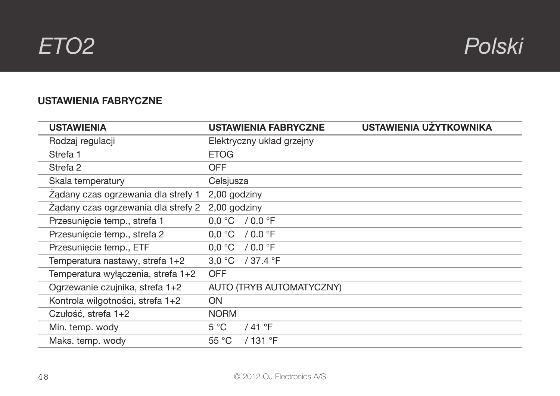

## **USTAWIENIA FABRYCZNE**

| <b>USTAWIENIA</b>                   | <b>USTAWIENIA FABRYCZNE</b> | USTAWIENIA UŻYTKOWNIKA |
|-------------------------------------|-----------------------------|------------------------|
| Rodzaj regulacji                    | Elektryczny układ grzejny   |                        |
| Strefa <sub>1</sub>                 | <b>ETOG</b>                 |                        |
| Strefa 2                            | <b>OFF</b>                  |                        |
| Skala temperatury                   | Celsiusza                   |                        |
| Żądany czas ogrzewania dla strefy 1 | 2,00 godziny                |                        |
| Ządany czas ogrzewania dla strefy 2 | 2,00 godziny                |                        |
| Przesunięcie temp., strefa 1        | / $0.0 °F$<br>0.0 °C        |                        |
| Przesuniecie temp., strefa 2        | 0.0 °C<br>$/0.0$ °F         |                        |
| Przesuniecie temp., ETF             | 0.0 °C<br>$/0.0$ °F         |                        |
| Temperatura nastawy, strefa 1+2     | $3.0 °C$ / 37.4 °F          |                        |
| Temperatura wyłączenia, strefa 1+2  | <b>OFF</b>                  |                        |
| Ogrzewanie czujnika, strefa 1+2     | AUTO (TRYB AUTOMATYCZNY)    |                        |
| Kontrola wilgotności, strefa 1+2    | ON                          |                        |
| Czułość, strefa 1+2                 | <b>NORM</b>                 |                        |
| Min. temp. wody                     | 5 °C<br>/41 °F              |                        |
| Maks. temp. wody                    | 55 °C<br>$/131$ °F          |                        |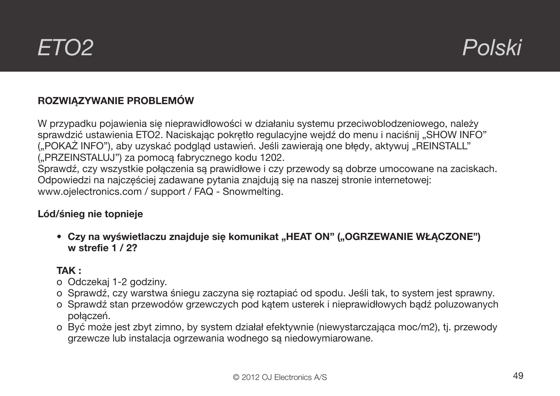



## **ROZWIĄZYWANIE PROBLEMÓW**

W przypadku pojawienia się nieprawidłowości w działaniu systemu przeciwoblodzeniowego, należy sprawdzić ustawienia ETO2. Naciskając pokrętło regulacyjne wejdź do menu i naciśnij "SHOW INFO" ("POKAŻ INFO"), aby uzyskać podgląd ustawień. Jeśli zawierają one błędy, aktywuj "REINSTALL" ("PRZEINSTALUJ") za pomocą fabrycznego kodu 1202.

Sprawdź, czy wszystkie połączenia są prawidłowe i czy przewody są dobrze umocowane na zaciskach. Odpowiedzi na najczęściej zadawane pytania znajdują się na naszej stronie internetowej: www.ojelectronics.com / support / FAQ - Snowmelting.

### **Lód/śnieg nie topnieje**

**• Czy na wyświetlaczu znajduje się komunikat "HEAT ON" ("OGRZEWANIE WŁĄCZONE") w strefie 1 / 2?**

## **TAK :**

- o Odczekaj 1-2 godziny.
- o Sprawdź, czy warstwa śniegu zaczyna się roztapiać od spodu. Jeśli tak, to system jest sprawny.
- o Sprawdź stan przewodów grzewczych pod kątem usterek i nieprawidłowych bądź poluzowanych połączeń.
- o Być może jest zbyt zimno, by system działał efektywnie (niewystarczająca moc/m2), tj. przewody grzewcze lub instalacja ogrzewania wodnego są niedowymiarowane.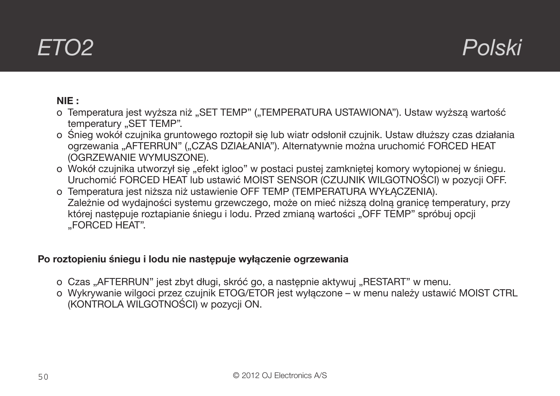

### **NIE :**

- o Temperatura jest wyższa niż "SET TEMP" ("TEMPERATURA USTAWIONA"). Ustaw wyższą wartość temperatury .SFT TFMP".
- o Śnieg wokół czujnika gruntowego roztopił się lub wiatr odsłonił czujnik. Ustaw dłuższy czas działania ogrzewania "AFTERRUN" ("CZAS DZIAŁANIA"). Alternatywnie można uruchomić FORCED HEAT (OGRZEWANIE WYMUSZONE).
- o Wokół czujnika utworzył się "efekt igloo" w postaci pustej zamkniętej komory wytopionej w śniegu. Uruchomić FORCED HEAT lub ustawić MOIST SENSOR (CZUJNIK WILGOTNOŚCI) w pozycji OFF.
- o Temperatura jest niższa niż ustawienie OFF TEMP (TEMPERATURA WYŁĄCZENIA). Zależnie od wydajności systemu grzewczego, może on mieć niższą dolną granicę temperatury, przy której następuje roztapianie śniegu i lodu. Przed zmianą wartości "OFF TEMP" spróbuj opcji "FORCED HEAT".

### **Po roztopieniu śniegu i lodu nie następuje wyłączenie ogrzewania**

- o Czas "AFTERRUN" jest zbyt długi, skróć go, a następnie aktywuj "RESTART" w menu.
- o Wykrywanie wilgoci przez czujnik ETOG/ETOR jest wyłączone w menu należy ustawić MOIST CTRL (KONTROLA WILGOTNOŚCI) w pozycji ON.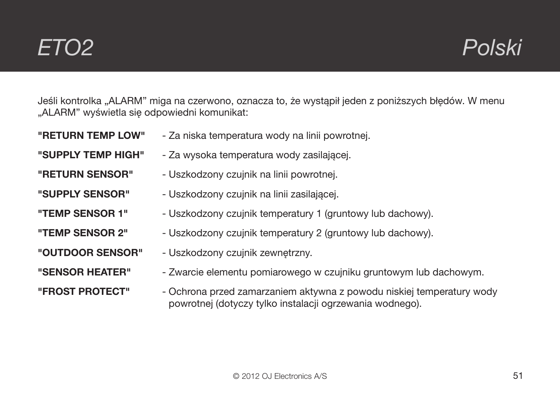

Jeśli kontrolka "ALARM" miga na czerwono, oznacza to, że wystąpił jeden z poniższych błędów. W menu "ALARM" wyświetla się odpowiedni komunikat:

- **"RETURN TEMP LOW"** Za niska temperatura wody na linii powrotnej.
- **"SUPPLY TEMP HIGH"** Za wysoka temperatura wody zasilającej.
- 
- 
- 
- 
- 
- 
- 
- **"RETURN SENSOR"** Uszkodzony czujnik na linii powrotnej.
- **"SUPPLY SENSOR"** Uszkodzony czujnik na linii zasilającej.
- **"TEMP SENSOR 1"** Uszkodzony czujnik temperatury 1 (gruntowy lub dachowy).
- **"TEMP SENSOR 2"** Uszkodzony czujnik temperatury 2 (gruntowy lub dachowy).
- **"OUTDOOR SENSOR"** Uszkodzony czujnik zewnętrzny.
- **"SENSOR HEATER"** Zwarcie elementu pomiarowego w czujniku gruntowym lub dachowym.
- **"FROST PROTECT"** Ochrona przed zamarzaniem aktywna z powodu niskiej temperatury wody powrotnej (dotyczy tylko instalacji ogrzewania wodnego).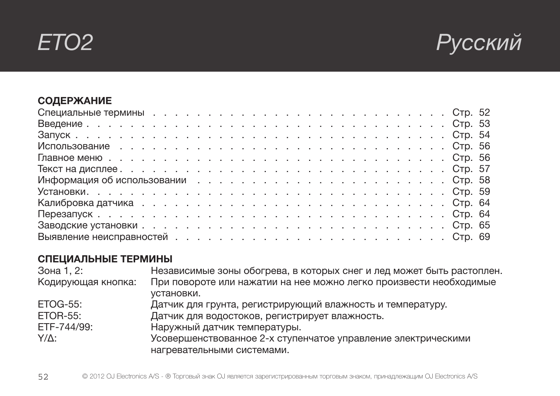

## **сОДЕРЖАНиЕ**

| Информация об использовании частический какимический какимический стр. 58 |  |  |  |  |  |  |  |  |  |  |  |  |  |  |  |
|---------------------------------------------------------------------------|--|--|--|--|--|--|--|--|--|--|--|--|--|--|--|
|                                                                           |  |  |  |  |  |  |  |  |  |  |  |  |  |  |  |
|                                                                           |  |  |  |  |  |  |  |  |  |  |  |  |  |  |  |
|                                                                           |  |  |  |  |  |  |  |  |  |  |  |  |  |  |  |
|                                                                           |  |  |  |  |  |  |  |  |  |  |  |  |  |  |  |
|                                                                           |  |  |  |  |  |  |  |  |  |  |  |  |  |  |  |

### **сПЕЦиАЛЬНЫЕ ТЕРМиНЫ**

| Зона 1, 2:         | Независимые зоны обогрева, в которых снег и лед может быть растоплен. |
|--------------------|-----------------------------------------------------------------------|
| Кодирующая кнопка: | При повороте или нажатии на нее можно легко произвести необходимые    |
|                    | установки.                                                            |
| $ETOG-55:$         | Датчик для грунта, регистрирующий влажность и температуру.            |
| ETOR-55:           | Датчик для водостоков, регистрирует влажность.                        |
| ETF-744/99:        | Наружный датчик температуры.                                          |
| $Y/\Delta$ :       | Усовершенствованное 2-х ступенчатое управление электрическими         |
|                    | нагревательными системами.                                            |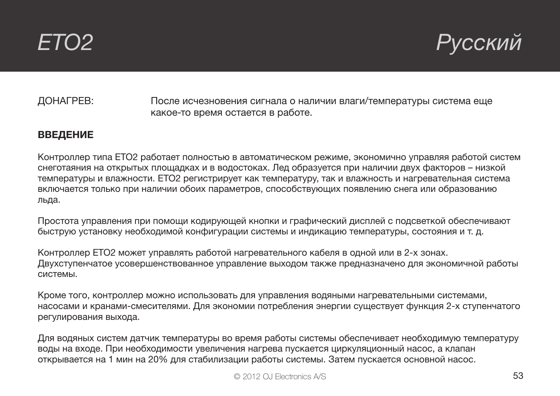



ДОНАГРЕВ: После исчезновения сигнала о наличии влаги/температуры система еще какое-то время остается в работе.

### **ВВЕДЕНиЕ**

Контроллер типа ETO2 работает полностью в автоматическом режиме, экономично управляя работой систем снеготаяния на открытых площадках и в водостоках. Лед образуется при наличии двух факторов – низкой температуры и влажности. ETO2 регистрирует как температуру, так и влажность и нагревательная система включается только при наличии обоих параметров, способствующих появлению снега или образованию льда.

Простота управления при помощи кодирующей кнопки и графический дисплей с подсветкой обеспечивают быструю установку необходимой конфигурации системы и индикацию температуры, состояния и т. д.

Контроллер ETO2 может управлять работой нагревательного кабеля в одной или в 2-х зонах. Двухступенчатое усовершенствованное управление выходом также предназначено для экономичной работы системы.

Кроме того, контроллер можно использовать для управления водяными нагревательными системами, насосами и кранами-смесителями. Для экономии потребления энергии существует функция 2-х ступенчатого регулирования выхода.

Для водяных систем датчик температуры во время работы системы обеспечивает необходимую температуру воды на входе. При необходимости увеличения нагрева пускается циркуляционный насос, а клапан открывается на 1 мин на 20% для стабилизации работы системы. Затем пускается основной насос.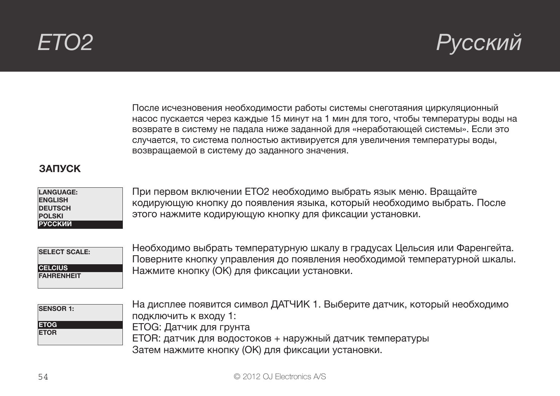

После исчезновения необходимости работы системы снеготаяния циркуляционный насос пускается через каждые 15 минут на 1 мин для того, чтобы температуры воды на возврате в систему не падала ниже заданной для «неработающей системы». Если это случается, то система полностью активируется для увеличения температуры воды, возвращаемой в систему до заданного значения.

### **ЗАПуск**

| LANGUAGE:      |  |
|----------------|--|
| <b>ENGLISH</b> |  |
| <b>DEUTSCH</b> |  |
| <b>POLSKI</b>  |  |
| <b>РУССКИЙ</b> |  |

При первом включении ETO2 необходимо выбрать язык меню. Вращайте кодирующую кнопку до появления языка, который необходимо выбрать. После этого нажмите кодирующую кнопку для фиксации установки.

| <b>SELECT SCALE:</b> |
|----------------------|
|                      |
| <b>CELCIUS</b>       |
| <b>FAHRENHEIT</b>    |
|                      |
|                      |
|                      |
|                      |

Необходимо выбрать температурную шкалу в градусах Цельсия или Фаренгейта. Поверните кнопку управления до появления необходимой температурной шкалы. Нажмите кнопку (ОК) для фиксации установки.

| <b>SENSOR 1:</b> |  |
|------------------|--|
| <b>ETOG</b>      |  |
| <b>ETOR</b>      |  |
|                  |  |

На дисплее появится символ ДАТЧИК 1. Выберите датчик, который необходимо подключить к входу 1: ETOG: Датчик для грунта ETOR: датчик для водостоков + наружный датчик температуры Затем нажмите кнопку (ОК) для фиксации установки.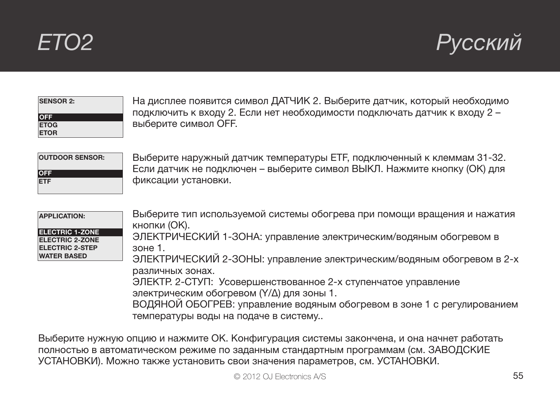



| <b>SENSOR 2:</b> |  |
|------------------|--|
| <b>OFF</b>       |  |
| <b>ETOG</b>      |  |
| <b>ETOR</b>      |  |

На дисплее появится символ ДАТЧИК 2. Выберите датчик, который необходимо подключить к входу 2. Если нет необходимости подключать датчик к входу 2 – выберите символ OFF.

| <b>OUTDOOR SENSOR:</b> |  |
|------------------------|--|
| OFF                    |  |
| ETF                    |  |
|                        |  |

Выберите наружный датчик температуры ETF, подключенный к клеммам 31-32. Если датчик не подключен – выберите символ ВЫКЛ. Нажмите кнопку (ОК) для фиксации установки.

| <b>APPLICATION:</b>    |  |
|------------------------|--|
| <b>ELECTRIC 1-ZONE</b> |  |
| <b>ELECTRIC 2-ZONE</b> |  |
| <b>ELECTRIC 2-STEP</b> |  |
| <b>WATER BASED</b>     |  |

Выберите тип используемой системы обогрева при помощи вращения и нажатия кнопки (ОК).

ЭЛЕКТРИЧЕСКИЙ 1-ЗОНА: управление электрическим/водяным обогревом в зоне 1.

ЭЛЕКТРИЧЕСКИЙ 2-ЗОНЫ: управление электрическим/водяным обогревом в 2-х различных зонах.

ЭЛЕКТР. 2-СТУП: Усовершенствованное 2-х ступенчатое управление электрическим обогревом (Y/Δ) для зоны 1.

ВОДЯНОЙ ОБОГРЕВ: управление водяным обогревом в зоне 1 с регулированием температуры воды на подаче в систему..

Выберите нужную опцию и нажмите ОК. Конфигурация системы закончена, и она начнет работать полностью в автоматическом режиме по заданным стандартным программам (см. ЗАВОДСКИЕ УСТАНОВКИ). Можно также установить свои значения параметров, см. УСТАНОВКИ.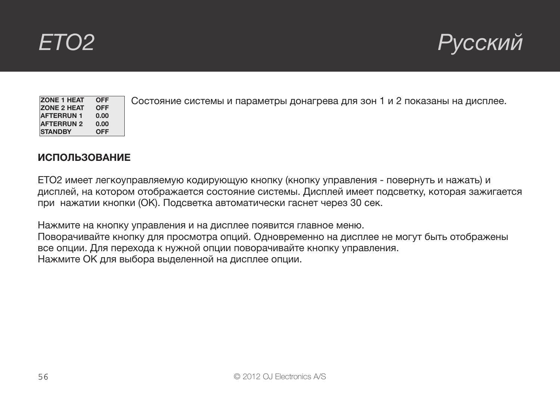



| ZONE 1 HEAT       | <b>OFF</b> |
|-------------------|------------|
| ZONE 2 HEAT       | <b>OFF</b> |
| <b>AFTERRUN1</b>  | 0.00       |
| <b>AFTERRUN 2</b> | 0.00       |
| <b>STANDBY</b>    | <b>OFF</b> |

Состояние системы и параметры донагрева для зон 1 и 2 показаны на дисплее.

### **исПОЛЬЗОВАНиЕ**

ETO2 имеет легкоуправляемую кодирующую кнопку (кнопку управления - повернуть и нажать) и дисплей, на котором отображается состояние системы. Дисплей имеет подсветку, которая зажигается при нажатии кнопки (OK). Подсветка автоматически гаснет через 30 сек.

Нажмите на кнопку управления и на дисплее появится главное меню.

Поворачивайте кнопку для просмотра опций. Одновременно на дисплее не могут быть отображены все опции. Для перехода к нужной опции поворачивайте кнопку управления. Нажмите ОК для выбора выделенной на дисплее опции.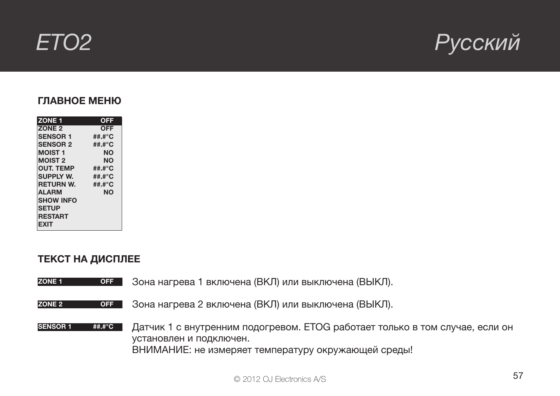



### **ГЛАВНОЕ МЕНЮ**

| ZONE <sub>1</sub> | OFF        |
|-------------------|------------|
| ZONE <sub>2</sub> | <b>OFF</b> |
| <b>SENSOR 1</b>   | ##.#°C     |
| <b>SENSOR 2</b>   | ##.#°C     |
| <b>MOIST1</b>     | <b>NO</b>  |
| <b>MOIST 2</b>    | <b>NO</b>  |
| <b>OUT. TEMP</b>  | ##.#°C     |
| <b>SUPPLY W.</b>  | ##.#°C     |
| <b>RETURN W.</b>  | ##.#°C     |
| <b>ALARM</b>      | <b>NO</b>  |
| <b>SHOW INFO</b>  |            |
| <b>SETUP</b>      |            |
| <b>RESTART</b>    |            |
| <b>EXIT</b>       |            |

### **ТЕксТ НА ДисПЛЕЕ**

Зона нагрева 1 включена (ВКЛ) или выключена (ВЫКЛ). **ZONE 1 OFF**

Зона нагрева 2 включена (ВКЛ) или выключена (ВЫКЛ). **ZONE 2 OFF**

Датчик 1 с внутренним подогревом. ETOG работает только в том случае, если он установлен и подключен. ВНИМАНИЕ: не измеряет температуру окружающей среды! **SENSOR 1 ##.#°C**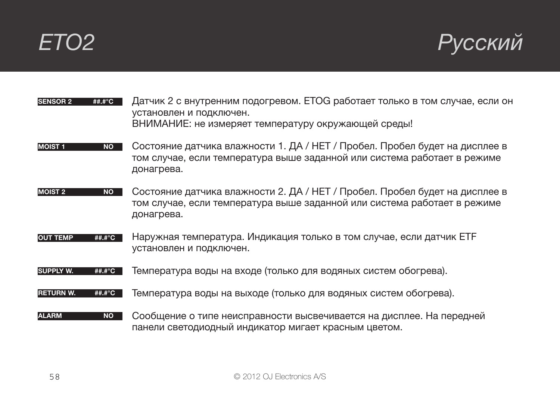



- Датчик 2 с внутренним подогревом. ETOG работает только в том случае, если он установлен и подключен. ВНИМАНИЕ: не измеряет температуру окружающей среды! Состояние датчика влажности 1. ДА / НЕТ / Пробел. Пробел будет на дисплее в том случае, если температура выше заданной или система работает в режиме донагрева. **SENSOR 2 ##.#°C MOIST 1 NO**
- Состояние датчика влажности 2. ДА / НЕТ / Пробел. Пробел будет на дисплее в том случае, если температура выше заданной или система работает в режиме донагрева. **MOIST 2 NO**
- Наружная температура. Индикация только в том случае, если датчик ETF установлен и подключен. **OUT TEMP ##.#°C**
- Температура воды на входе (только для водяных систем обогрева). **SUPPLY W. ##.#°C**
- Температура воды на выходе (только для водяных систем обогрева). **RETURN W. ##.#°C**
- Сообщение о типе неисправности высвечивается на дисплее. На передней панели светодиодный индикатор мигает красным цветом. **ALARM NO**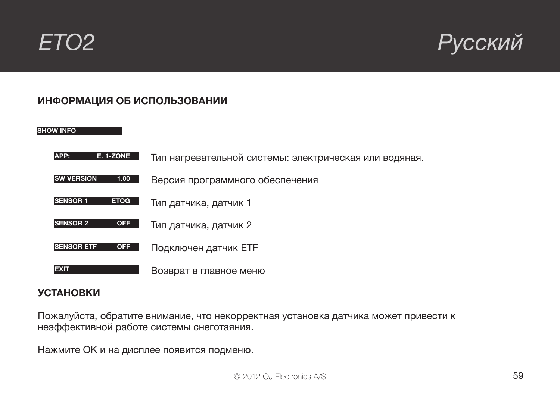



### **иНФОРМАЦиЯ ОБ исПОЛЬЗОВАНии**

### **SHOW INFO**



### **усТАНОВки**

Пожалуйста, обратите внимание, что некорректная установка датчика может привести к неэффективной работе системы снеготаяния.

Нажмите ОК и на дисплее появится подменю.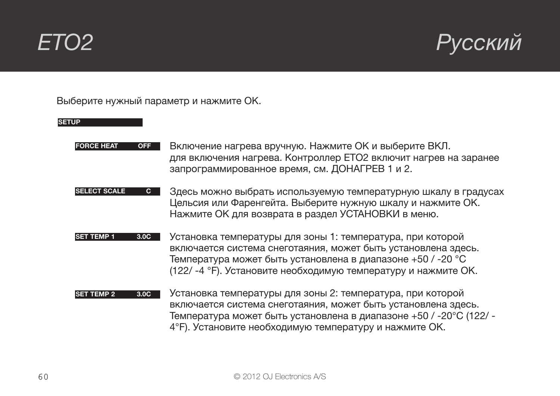

Выберите нужный параметр и нажмите ОК.

### **SETUP**

- Включение нагрева вручную. Нажмите ОК и выберите ВКЛ. для включения нагрева. Контроллер ЕТО2 включит нагрев на заранее запрограммированное время, см. ДОНАГРЕВ 1 и 2. **FORCE HEAT OFF**
- Здесь можно выбрать используемую температурную шкалу в градусах Цельсия или Фаренгейта. Выберите нужную шкалу и нажмите ОК. Нажмите OK для возврата в pаздел УСТАНОВКИ в меню. **SELECT SCALE C**
- Установка температуры для зоны 1: температура, при которой включается система снеготаяния, может быть установлена здесь. Температура может быть установлена в диапазоне +50 / -20 °C (122/ -4 °F). Установите необходимую температуру и нажмите OK. **SET TEMP 1 3.0C**
- Установка температуры для зоны 2: температура, при которой включается система снеготаяния, может быть установлена здесь. Температура может быть установлена в диапазоне +50 / -20°C (122/ - 4°F). Установите необходимую температуру и нажмите OK. **SET TEMP 2 3.0C**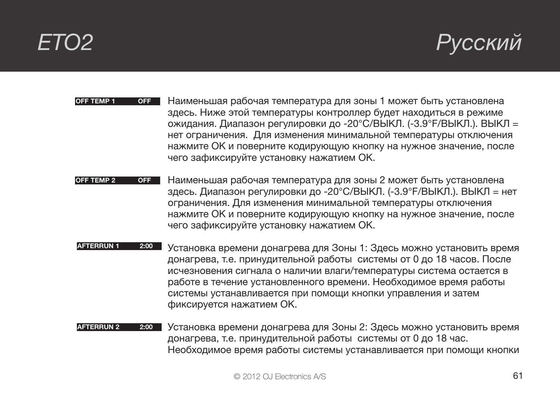

- Наименьшая рабочая температура для зоны 1 может быть установлена здесь. Ниже этой температуры контроллер будет находиться в режиме ожидания. Диапазон регулировки до -20°C/ВЫКЛ. (-3.9°F/ВЫКЛ.). ВЫКЛ = нет ограничения. Для изменения минимальной температуры отключения нажмите ОК и поверните кодирующую кнопку на нужное значение, после чего зафиксируйте установку нажатием ОК. **OFF TEMP 1 OFF**
- Наименьшая рабочая температура для зоны 2 может быть установлена здесь. Диапазон регулировки до -20°C/ВЫКЛ. (-3.9°F/ВЫКЛ.). ВЫКЛ = нет ограничения. Для изменения минимальной температуры отключения нажмите ОК и поверните кодирующую кнопку на нужное значение, после чего зафиксируйте установку нажатием ОК. **OFF TEMP 2 OFF**
- Установка времени донагрева для Зоны 1: Здесь можно установить время донагрева, т.е. принудительной работы системы от 0 до 18 часов. После исчезновения сигнала о наличии влаги/температуры система остается в работе в течение установленного времени. Необходимое время работы системы устанавливается при помощи кнопки управления и затем фиксируется нажатием ОК. **AFTERRUN 1 2:00**
- Установка времени донагрева для Зоны 2: Здесь можно установить время донагрева, т.е. принудительной работы системы от 0 до 18 час. Необходимое время работы системы устанавливается при помощи кнопки **AFTERRUN 2 2:00**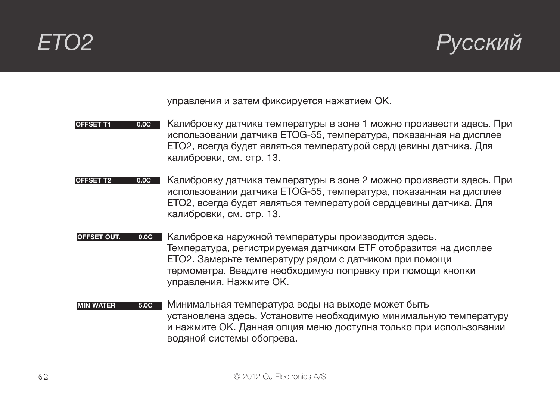

управления и затем фиксируется нажатием ОК.

- Калибровку датчика температуры в зоне 1 можно произвести здесь. При использовании датчика ETOG-55, температура, показанная на дисплее ETO2, всегда будет являться температурой сердцевины датчика. Для калибровки, см. стр. 13. **OFFSET T1 0.0C**
- Калибровку датчика температуры в зоне 2 можно произвести здесь. При использовании датчика ETOG-55, температура, показанная на дисплее ETO2, всегда будет являться температурой сердцевины датчика. Для калибровки, см. стр. 13. **OFFSET T2 0.0C**
- олос Калибровка наружной температуры производится здесь. Температура, регистрируемая датчиком ETF отобразится на дисплее ЕТО2. Замерьте температуру рядом с датчиком при помощи термометра. Введите необходимую поправку при помощи кнопки управления. Нажмите ОК. **OFFSET OUT. 0.0C**
- Минимальная температура воды на выходе может быть установлена здесь. Установите необходимую минимальную температуру и нажмите ОК. Данная опция меню доступна только при использовании водяной системы обогрева. **MIN WATER 5.0C**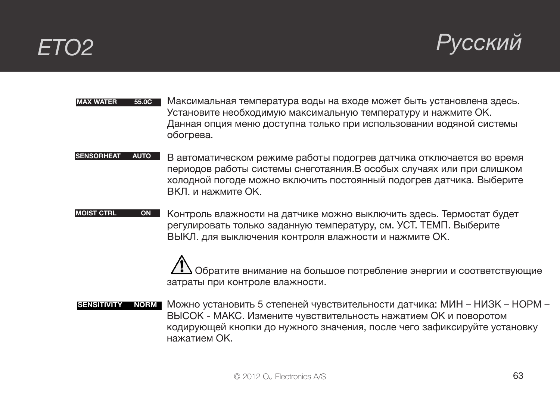

- Максимальная температура воды на входе может быть установлена здесь. Установите необходимую максимальную температуру и нажмите ОК. Данная опция меню доступна только при использовании водяной системы обогрева. **MAX WATER 55.0C**
- В автоматическом режиме работы подогрев датчика отключается во время периодов работы системы снеготаяния.В особых случаях или при слишком холодной погоде можно включить постоянный подогрев датчика. Выберите ВКЛ. и нажмите OK. **SENSORHEAT AUTO**
- Контроль влажности на датчике можно выключить здесь. Термостат будет регулировать только заданную температуру, см. УСТ. ТЕМП. Выберите ВЫКЛ. для выключения контроля влажности и нажмите OK. **MOIST CTRL ON**

Обратите внимание на большое потребление энергии и соответствующие затраты при контроле влажности.

**SENSITIVITY NORM** Можно установить 5 степеней чувствительности датчика: МИН – НИЗК – НОРМ – ВЫСОК - МАКС. Измените чувствительность нажатием ОК и поворотом кодирующей кнопки до нужного значения, после чего зафиксируйте установку нажатием ОК.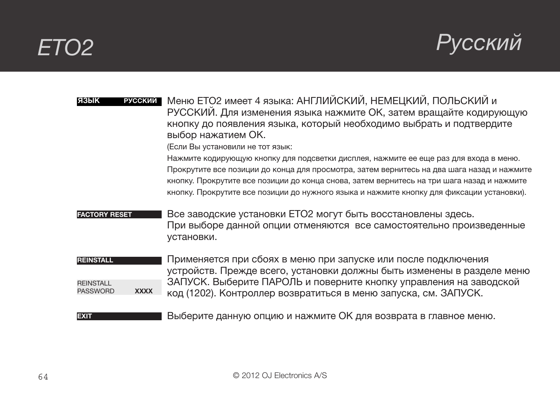# *ETO2*



| РУССКИЙ<br>язык                     |             | Меню ЕТО2 имеет 4 языка: АНГЛИЙСКИЙ, НЕМЕЦКИЙ, ПОЛЬСКИЙ и<br>РУССКИЙ. Для изменения языка нажмите ОК, затем вращайте кодирующую                                                         |  |  |
|-------------------------------------|-------------|-----------------------------------------------------------------------------------------------------------------------------------------------------------------------------------------|--|--|
|                                     |             | кнопку до появления языка, который необходимо выбрать и подтвердите<br>выбор нажатием ОК.                                                                                               |  |  |
|                                     |             | (Если Вы установили не тот язык:                                                                                                                                                        |  |  |
|                                     |             | Нажмите кодирующую кнопку для подсветки дисплея, нажмите ее еще раз для входа в меню.                                                                                                   |  |  |
|                                     |             | Прокрутите все позиции до конца для просмотра, затем вернитесь на два шага назад и нажмите                                                                                              |  |  |
|                                     |             | кнопку. Прокрутите все позиции до конца снова, затем вернитесь на три шага назад и нажмите<br>кнопку. Прокрутите все позиции до нужного языка и нажмите кнопку для фиксации установки). |  |  |
| <b>FACTORY RESET</b>                |             | Все заводские установки ЕТО2 могут быть восстановлены здесь.<br>При выборе данной опции отменяются все самостоятельно произведенные<br>установки.                                       |  |  |
| <b>REINSTALL</b>                    |             | Применяется при сбоях в меню при запуске или после подключения<br>устройств. Прежде всего, установки должны быть изменены в разделе меню                                                |  |  |
| <b>REINSTALL</b><br><b>PASSWORD</b> | <b>XXXX</b> | ЗАПУСК. Выберите ПАРОЛЬ и поверните кнопку управления на заводской<br>код (1202). Контроллер возвратиться в меню запуска, см. ЗАПУСК.                                                   |  |  |
| <b>EXIT</b>                         |             | Выберите данную опцию и нажмите ОК для возврата в главное меню.                                                                                                                         |  |  |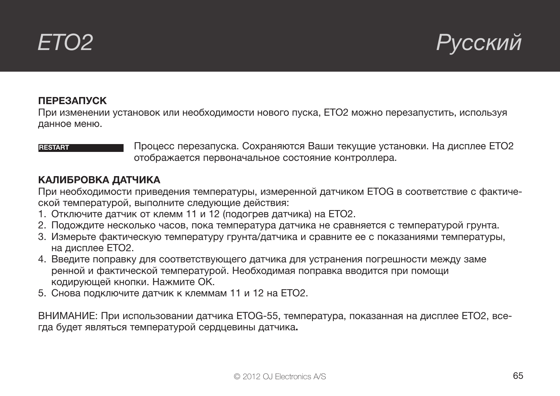

### **ПЕРЕЗАПуск**

При изменении установок или необходимости нового пуска, ЕТО2 можно перезапустить, используя данное меню.

### **RESTART**

Процесс перезапуска. Сохраняются Ваши текущие установки. На дисплее ЕТО2 отображается первоначальное состояние контроллера.

### **кАЛиБРОВкА ДАТЧикА**

При необходимости приведения температуры, измеренной датчиком ETOG в соответствие с фактической температурой, выполните следующие действия:

- 1. Отключите датчик от клемм 11 и 12 (подогрев датчика) на ETO2.
- 2. Подождите несколько часов, пока температура датчика не сравняется с температурой грунта.
- 3. Измерьте фактическую температуру грунта/датчика и сравните ее с показаниями температуры, на дисплее ETO2.
- 4. Введите поправку для соответствующего датчика для устранения погрешности между заме ренной и фактической температурой. Необходимая поправка вводится при помощи кодирующей кнопки. Нажмите ОК.
- 5. Снова подключите датчик к клеммам 11 и 12 на ETO2.

ВНИМАНИЕ: При использовании датчика ETOG-55, температура, показанная на дисплее ETO2, всегда будет являться температурой сердцевины датчика**.**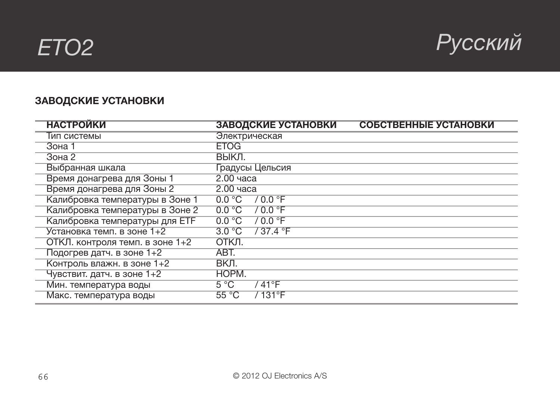



## **ЗАВОДскиЕ усТАНОВки**

| <b>НАСТРОЙКИ</b>                | ЗАВОДСКИЕ УСТАНОВКИ              | СОБСТВЕННЫЕ УСТАНОВКИ |
|---------------------------------|----------------------------------|-----------------------|
| Тип системы                     | Электрическая                    |                       |
| Зона 1                          | <b>ETOG</b>                      |                       |
| Зона 2                          | ВЫКЛ.                            |                       |
| Выбранная шкала                 | Градусы Цельсия                  |                       |
| Время донагрева для Зоны 1      | 2.00 часа                        |                       |
| Время донагрева для Зоны 2      | 2.00 часа                        |                       |
| Калибровка температуры в Зоне 1 | $0.0 \degree C$<br>0.0 °F        |                       |
| Калибровка температуры в Зоне 2 | $0.0 \degree C$<br>/0.0 °F       |                       |
| Калибровка температуры для ЕТГ  | $0.0 \degree C$<br>$/0.0$ °F     |                       |
| Установка темп. в зоне 1+2      | 3.0 °C<br>$/37.4$ °F             |                       |
| ОТКЛ. контроля темп. в зоне 1+2 | ОТКЛ.                            |                       |
| Подогрев датч. в зоне 1+2       | ABT.                             |                       |
| Контроль влажн. в зоне 1+2      | BKЛ.                             |                       |
| Чувствит. датч. в зоне 1+2      | HOPM.                            |                       |
| Мин. температура воды           | $5^{\circ}$ C<br>$/41^{\circ}$ F |                       |
| Макс. температура воды          | $55^{\circ}$ C<br>/ 131°F        |                       |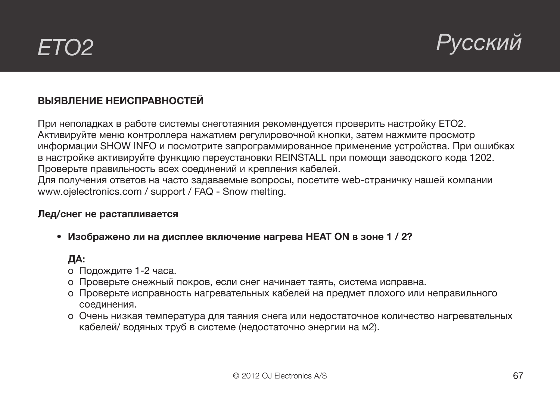



## **ВЫЯВЛЕНиЕ НЕисПРАВНОсТЕй**

При неполадках в работе системы снеготаяния рекомендуется проверить настройку ЕТО2. Активируйте меню контроллера нажатием регулировочной кнопки, затем нажмите просмотр информации SHOW INFO и посмотрите запрограммированное применение устройства. При ошибках в настройке активируйте функцию переустановки REINSTALL при помощи заводского кода 1202. Проверьте правильность всех соединений и крепления кабелей. Для получения ответов на часто задаваемые вопросы, посетите web-страничку нашей компании www.ojelectronics.com / support / FAQ - Snow melting.

### **Лед/снег не растапливается**

**• изображено ли на дисплее включение нагрева HEAT ON в зоне 1 / 2?**

### **ДА:**

- o Подождите 1-2 часа.
- o Проверьте снежный покров, если снег начинает таять, система исправна.
- o Проверьте исправность нагревательных кабелей на предмет плохого или неправильного соединения.
- o Очень низкая температура для таяния снега или недостаточное количество нагревательных кабелей/ водяных труб в системе (недостаточно энергии на м2).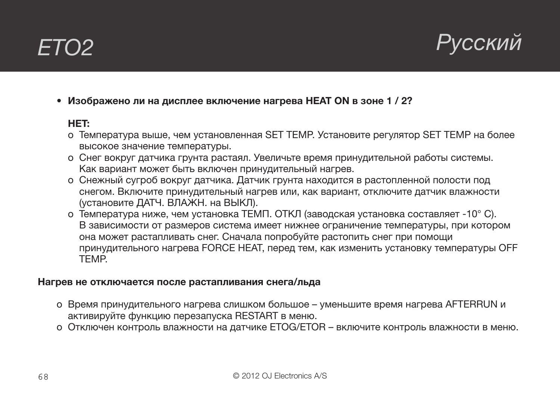



### **• изображено ли на дисплее включение нагрева HEAT ON в зоне 1 / 2?**

### **НЕТ:**

- o Температура выше, чем установленная SET TEMP. Установите регулятор SET TEMP на более высокое значение температуры.
- o Снег вокруг датчика грунта растаял. Увеличьте время принудительной работы системы. Как вариант может быть включен принудительный нагрев.
- o Снежный сугроб вокруг датчика. Датчик грунта находится в растопленной полости под снегом. Включите принудительный нагрев или, как вариант, отключите датчик влажности (установите ДАТЧ. ВЛАЖН. на ВЫКЛ).
- o Температура ниже, чем установка ТЕМП. ОТКЛ (заводская установка составляет -10° C). В зависимости от размеров система имеет нижнее ограничение температуры, при котором она может растапливать снег. Сначала попробуйте растопить снег при помощи принудительного нагрева FORCE HEAT, перед тем, как изменить установку температуры OFF TEMP.

### **Нагрев не отключается после растапливания снега/льда**

- o Время принудительного нагрева слишком большое уменьшите время нагрева AFTERRUN и активируйте функцию перезапуска RESTART в меню.
- o Отключен контроль влажности на датчике ETOG/ETOR включите контроль влажности в меню.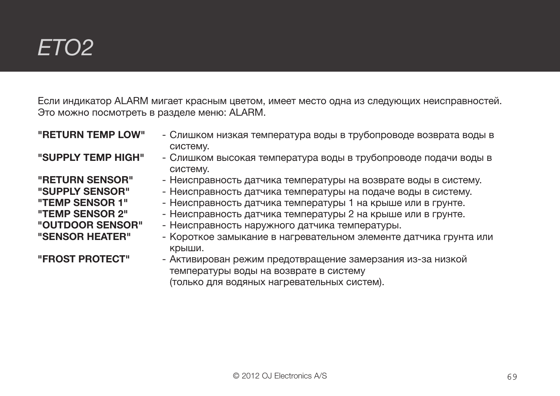# *ETO2*

Если индикатор ALARM мигает красным цветом, имеет место одна из следующих неисправностей. Это можно посмотреть в разделе меню: ALARM.

**"RETURN TEMP LOW"** - Слишком низкая температура воды в трубопроводе возврата воды в

систему.

**"SUPPLY TEMP HIGH"** - Слишком высокая температура воды в трубопроводе подачи воды в систему.

- **"RETURN SENSOR"** Неисправность датчика температуры на возврате воды в систему.
	- **"SUPPLY SENSOR"** Неисправность датчика температуры на подаче воды в систему.
- **"TEMP SENSOR 1"** Неисправность датчика температуры 1 на крыше или в грунте.
- **"TEMP SENSOR 2"** Неисправность датчика температуры 2 на крыше или в грунте.
	- Неисправность наружного датчика температуры.
- **"SENSOR HEATER"** Короткое замыкание в нагревательном элементе датчика грунта или крыши.
- **"FROST PROTECT"** Активирован режим предотвращение замерзания из-за низкой температуры воды на возврате в систему (только для водяных нагревательных систем).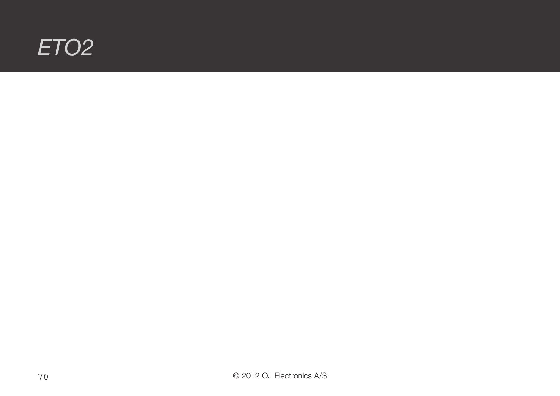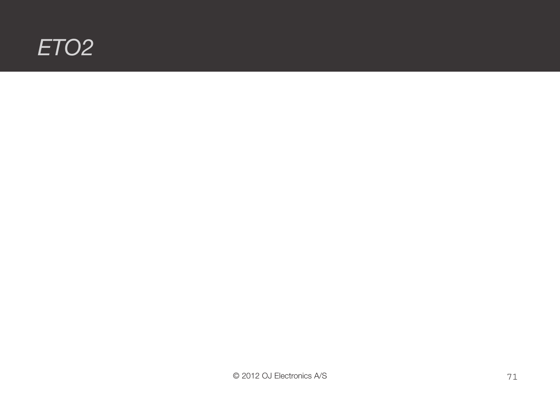